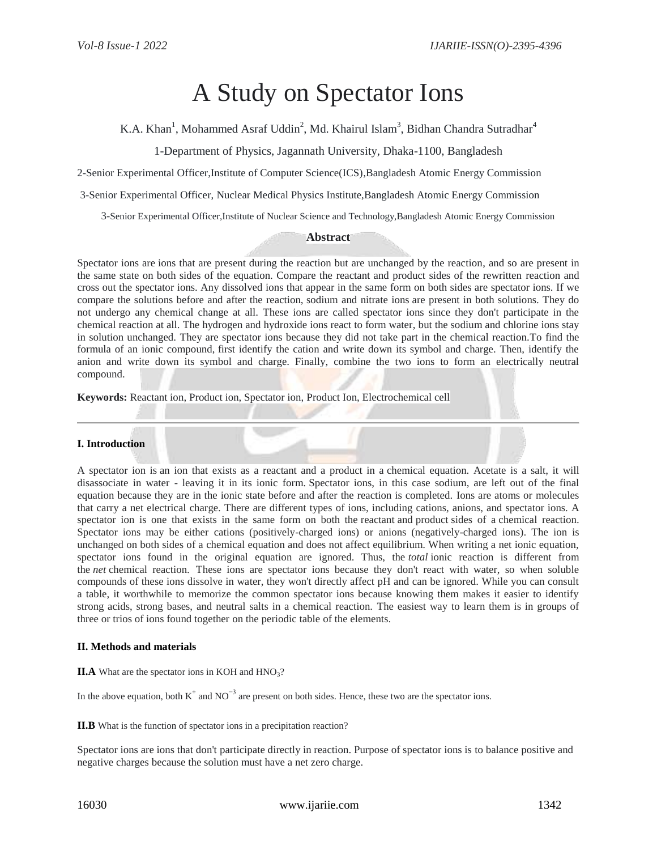# A Study on Spectator Ions

K.A. Khan<sup>1</sup>, Mohammed Asraf Uddin<sup>2</sup>, Md. Khairul Islam<sup>3</sup>, Bidhan Chandra Sutradhar<sup>4</sup>

1-Department of Physics, Jagannath University, Dhaka-1100, Bangladesh

2-Senior Experimental Officer,Institute of Computer Science(ICS),Bangladesh Atomic Energy Commission

3-Senior Experimental Officer, Nuclear Medical Physics Institute,Bangladesh Atomic Energy Commission

3-Senior Experimental Officer,Institute of Nuclear Science and Technology,Bangladesh Atomic Energy Commission

## **Abstract**

Spectator ions are ions that are present during the reaction but are unchanged by the reaction, and so are present in the same state on both sides of the equation. Compare the reactant and product sides of the rewritten reaction and cross out the spectator ions. Any dissolved ions that appear in the same form on both sides are spectator ions. If we compare the solutions before and after the reaction, sodium and nitrate ions are present in both solutions. They do not undergo any chemical change at all. These ions are called spectator ions since they don't participate in the chemical reaction at all. The hydrogen and hydroxide ions react to form water, but the sodium and chlorine ions stay in solution unchanged. They are spectator ions because they did not take part in the chemical reaction.To find the formula of an ionic compound, first identify the cation and write down its symbol and charge. Then, identify the anion and write down its symbol and charge. Finally, combine the two ions to form an electrically neutral compound.

**Keywords:** Reactant ion, Product ion, Spectator ion, Product Ion, Electrochemical cell

# **I. Introduction**

A spectator ion is an ion that exists as a reactant and a product in a chemical equation. Acetate is a salt, it will disassociate in water - leaving it in its ionic form. Spectator ions, in this case sodium, are left out of the final equation because they are in the ionic state before and after the reaction is completed. Ions are atoms or molecules that carry a net electrical charge. There are different types of ions, including cations, anions, and spectator [ions.](https://www.thoughtco.com/definition-of-ion-604535) A spectator ion is one that exists in the same form on both the [reactant](https://www.thoughtco.com/definition-of-reactant-and-examples-604631) and [product](https://www.thoughtco.com/definition-of-product-in-chemistry-604617) sides of a [chemical reaction.](https://www.thoughtco.com/chemical-reaction-definition-606755) Spectator ions may be either cations (positively-charged ions) or anions (negatively-charged ions). The ion is unchanged on both sides of a chemical equation and does not affect equilibrium. When writing a net ionic equation, spectator ions found in the original equation are ignored. Thus, the *total* ionic reaction is different from the *net* chemical reaction. These ions are spectator ions because they don't react with water, so when soluble compounds of these ions dissolve in water, they won't directly affect pH and can be ignored. While you can consult a table, it worthwhile to memorize the common spectator ions because knowing them makes it easier to identify strong acids, strong bases, and neutral salts in a chemical reaction. The easiest way to learn them is in groups of three or trios of ions found together [on the periodic table](https://www.thoughtco.com/clickable-periodic-table-of-the-elements-3891282) of the elements.

#### **II. Methods and materials**

 $II.A$  What are the spectator ions in KOH and  $HNO<sub>3</sub>$ ?

In the above equation, both  $K^+$  and NO<sup>-3</sup> are present on both sides. Hence, these two are the spectator ions.

**II.B** What is the function of spectator ions in a precipitation reaction?

Spectator ions are ions that don't participate directly in reaction. Purpose of spectator ions is to balance positive and negative charges because the solution must have a net zero charge.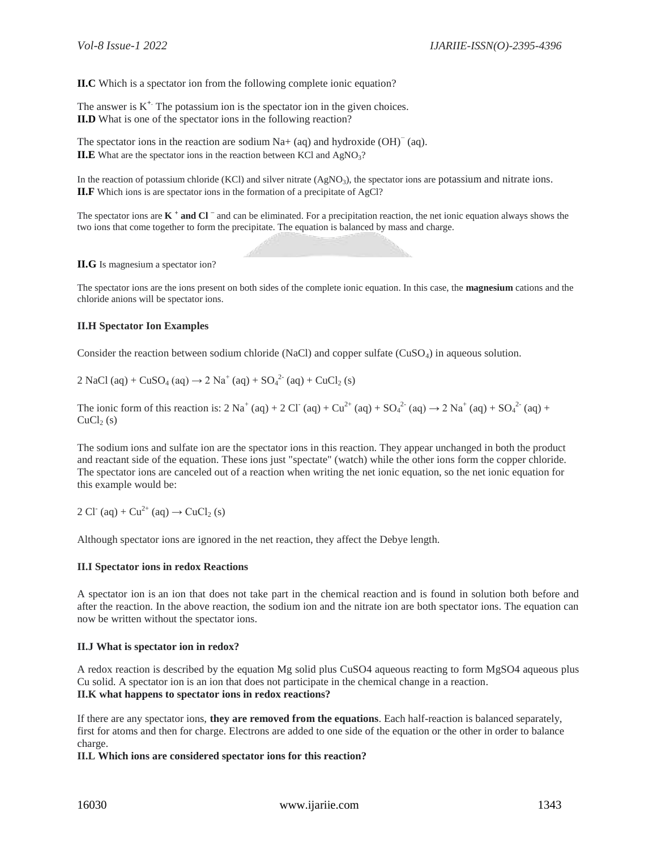**II.C** Which is a spectator ion from the following complete ionic equation?

The answer is  $K^+$ . The potassium ion is the spectator ion in the given choices. **II.D** What is one of the spectator ions in the following reaction?

The spectator ions in the reaction are sodium Na+ (aq) and hydroxide  $(OH)^{-}$  (aq). **II.E** What are the spectator ions in the reaction between KCl and  $AgNO<sub>3</sub>$ ?

In the reaction of potassium chloride (KCl) and silver nitrate (AgNO<sub>3</sub>), the spectator ions are potassium and nitrate ions. **II.F** Which ions is are spectator ions in the formation of a precipitate of AgCl?

The spectator ions are **K + and Cl <sup>−</sup>** and can be eliminated. For a precipitation reaction, the net ionic equation always shows the two ions that come together to form the precipitate. The equation is balanced by mass and charge.

**II.G** Is magnesium a spectator ion?

The spectator ions are the ions present on both sides of the complete ionic equation. In this case, the **magnesium** cations and the chloride anions will be spectator ions.

## **II.H Spectator Ion Examples**

Consider the reaction between sodium chloride (NaCl) and copper sulfate  $(CuSO<sub>4</sub>)$  in [aqueous solution.](https://www.thoughtco.com/definition-of-aqueous-solution-604370)

2 NaCl (aq) + CuSO<sub>4</sub> (aq)  $\rightarrow$  2 Na<sup>+</sup> (aq) + SO<sub>4</sub><sup>2</sup> (aq) + CuCl<sub>2</sub> (s)

The [ionic form](https://www.thoughtco.com/definition-of-ionic-equation-605262) of this reaction is:  $2 \text{ Na}^+$  (aq) +  $2 \text{ Cl}^-(aq) + \text{Cu}^{2+}$  (aq) +  $\text{SO}_4^{2-}$  (aq)  $\rightarrow 2 \text{ Na}^+(aq) + \text{SO}_4^{2-}$  (aq) +  $CuCl<sub>2</sub>(s)$ 

The sodium ions and sulfate ion are the spectator ions in this reaction. They appear unchanged in both the product and reactant side of the equation. These ions just "spectate" (watch) while the other ions form the copper chloride. The spectator ions are canceled out of a reaction when writing the net ionic equation, so the net ionic equation for this example would be:

2 Cl<sup>-</sup> (aq) + Cu<sup>2+</sup> (aq)  $\rightarrow$  CuCl<sub>2</sub> (s)

Although spectator ions are ignored in the net reaction, they affect the Debye length.

## **II.I Spectator ions in redox Reactions**

A spectator ion is an ion that does not take part in the chemical reaction and is found in solution both before and after the reaction. In the above reaction, the sodium ion and the nitrate ion are both spectator ions. The equation can now be written without the spectator ions.

#### **II.J What is spectator ion in redox?**

A redox reaction is described by the equation Mg solid plus CuSO4 aqueous reacting to form MgSO4 aqueous plus Cu solid. A spectator ion is an ion that does not participate in the chemical change in a reaction. **II.K what happens to spectator ions in redox reactions?**

If there are any spectator ions, **they are removed from the equations**. Each half-reaction is balanced separately, first for atoms and then for charge. Electrons are added to one side of the equation or the other in order to balance charge.

**II.L Which ions are considered spectator ions for this reaction?**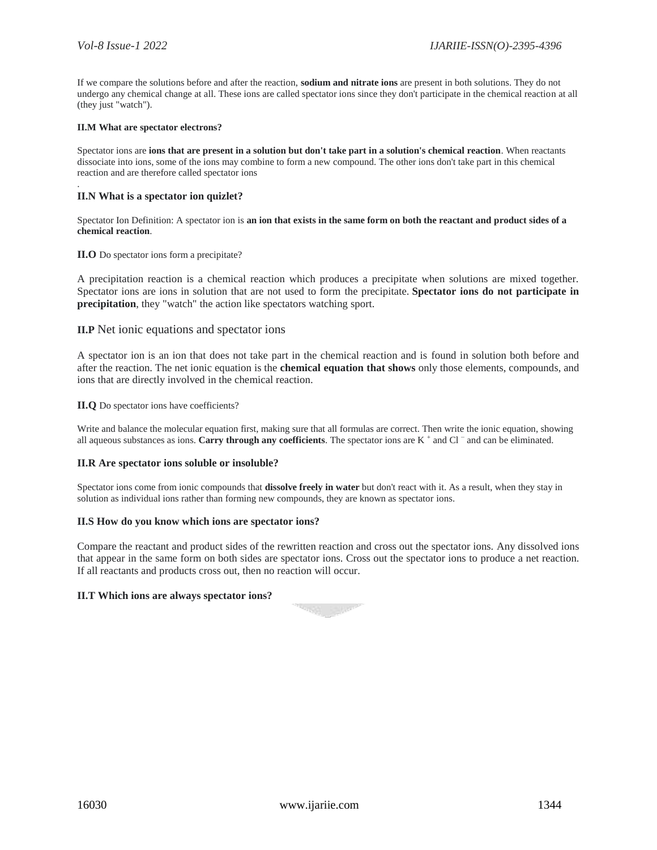.

If we compare the solutions before and after the reaction, **sodium and nitrate ions** are present in both solutions. They do not undergo any chemical change at all. These ions are called spectator ions since they don't participate in the chemical reaction at all (they just "watch").

#### **II.M What are spectator electrons?**

Spectator ions are **ions that are present in a solution but don't take part in a solution's chemical reaction**. When reactants dissociate into ions, some of the ions may combine to form a new compound. The other ions don't take part in this chemical reaction and are therefore called spectator ions

## **II.N What is a spectator ion quizlet?**

Spectator Ion Definition: A spectator ion is **an ion that exists in the same form on both the reactant and product sides of a chemical reaction**.

## **II.O** Do spectator ions form a precipitate?

A precipitation reaction is a chemical reaction which produces a precipitate when solutions are mixed together. Spectator ions are ions in solution that are not used to form the precipitate. **Spectator ions do not participate in precipitation**, they "watch" the action like spectators watching sport.

# **II.P** Net ionic equations and spectator ions

A spectator ion is an ion that does not take part in the chemical reaction and is found in solution both before and after the reaction. The net ionic equation is the **chemical equation that shows** only those elements, compounds, and ions that are directly involved in the chemical reaction.

**II.Q** Do spectator ions have coefficients?

Write and balance the molecular equation first, making sure that all formulas are correct. Then write the ionic equation, showing all aqueous substances as ions. **Carry through any coefficients**. The spectator ions are K<sup>+</sup> and Cl<sup>−</sup> and can be eliminated.

#### **II.R Are spectator ions soluble or insoluble?**

Spectator ions come from ionic compounds that **dissolve freely in water** but don't react with it. As a result, when they stay in solution as individual ions rather than forming new compounds, they are known as spectator ions.

#### **II.S How do you know which ions are spectator ions?**

Compare the reactant and product sides of the rewritten reaction and cross out the spectator ions. Any dissolved ions that appear in the same form on both sides are spectator ions. Cross out the spectator ions to produce a net reaction. If all reactants and products cross out, then no reaction will occur.

# **II.T Which ions are always spectator ions?**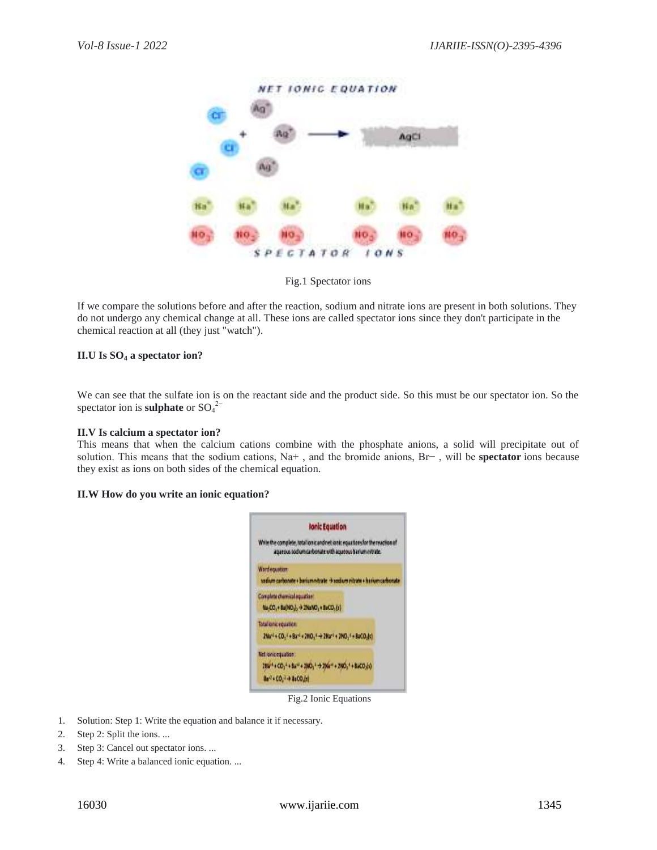

Fig.1 Spectator ions

If we compare the solutions before and after the reaction, sodium and nitrate ions are present in both solutions. They do not undergo any chemical change at all. These ions are called spectator ions since they don't participate in the chemical reaction at all (they just "watch").

# **II.U Is SO<sup>4</sup> a spectator ion?**

We can see that the sulfate ion is on the reactant side and the product side. So this must be our spectator ion. So the spectator ion is **sulphate** or  $SO_4^2$ <sup>-</sup>

# **II.V Is calcium a spectator ion?**

This means that when the calcium cations combine with the phosphate anions, a solid will precipitate out of solution. This means that the sodium cations, Na+ , and the bromide anions, Br− , will be **spectator** ions because they exist as ions on both sides of the chemical equation.

# **II.W How do you write an ionic equation?**



Fig.2 Ionic Equations

- 1. Solution: Step 1: Write the equation and balance it if necessary.
- 2. Step 2: Split the ions. ...
- 3. Step 3: Cancel out spectator ions. ...
- 4. Step 4: Write a balanced ionic equation. ...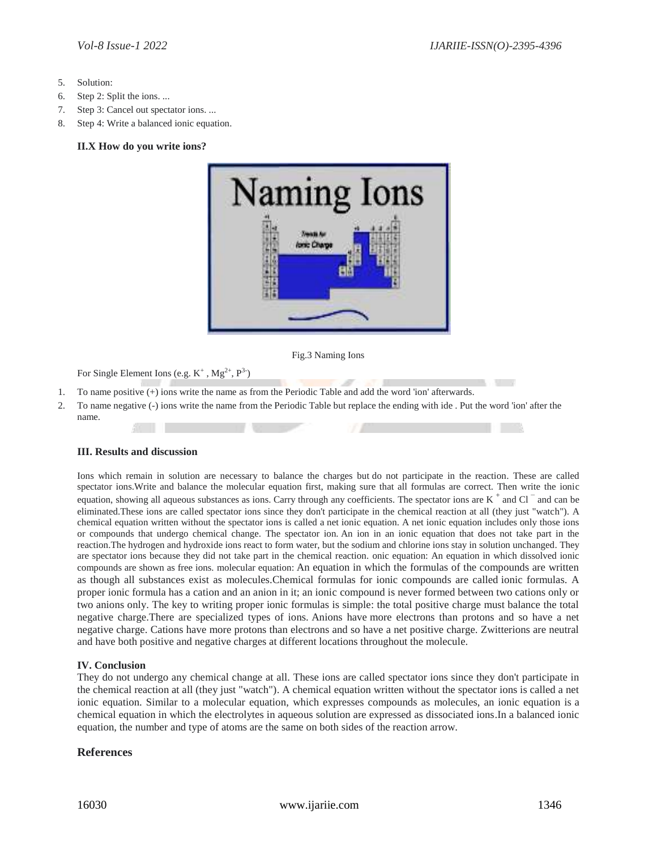- 5. Solution:
- 6. Step 2: Split the ions. ...
- 7. Step 3: Cancel out spectator ions. ...
- 8. Step 4: Write a balanced ionic equation.

#### **II.X How do you write ions?**



Fig.3 Naming Ions

For Single Element Ions (e.g.  $K^+$ ,  $Mg^{2+}$ ,  $P^{3-}$ )

- 1. To name positive  $\overline{(+)}$  ions write the name as from the Periodic Table and add the word 'ion' afterwards.
- 2. To name negative (-) ions write the name from the Periodic Table but replace the ending with ide . Put the word 'ion' after the name.

# **III. Results and discussion**

Ions which remain in solution are necessary to balance the charges but do not participate in the reaction. These are called spectator ions.Write and balance the molecular equation first, making sure that all formulas are correct. Then write the ionic equation, showing all aqueous substances as ions. Carry through any coefficients. The spectator ions are  $K^+$  and Cl<sup>-</sup> and can be eliminated.These ions are called spectator ions since they don't participate in the chemical reaction at all (they just "watch"). A chemical equation written without the spectator ions is called a net ionic equation. A net ionic equation includes only those ions or compounds that undergo chemical change. The spectator ion. An ion in an ionic equation that does not take part in the reaction.The hydrogen and hydroxide ions react to form water, but the sodium and chlorine ions stay in solution unchanged. They are spectator ions because they did not take part in the chemical reaction. onic equation: An equation in which dissolved ionic compounds are shown as free ions. molecular equation: An equation in which the formulas of the compounds are written as though all substances exist as molecules.Chemical formulas for ionic compounds are called ionic formulas. A proper ionic formula has a cation and an anion in it; an ionic compound is never formed between two cations only or two anions only. The key to writing proper ionic formulas is simple: the total positive charge must balance the total negative charge.There are specialized types of ions. Anions have more electrons than protons and so have a net negative charge. Cations have more protons than electrons and so have a net positive charge. Zwitterions are neutral and have both positive and negative charges at different locations throughout the molecule.

# **IV. Conclusion**

They do not undergo any chemical change at all. These ions are called spectator ions since they don't participate in the chemical reaction at all (they just "watch"). A chemical equation written without the spectator ions is called a net ionic equation. Similar to a molecular equation, which expresses compounds as molecules, an ionic equation is a chemical equation in which the electrolytes in aqueous solution are expressed as dissociated ions.In a balanced ionic equation, the number and type of atoms are the same on both sides of the reaction arrow.

# **References**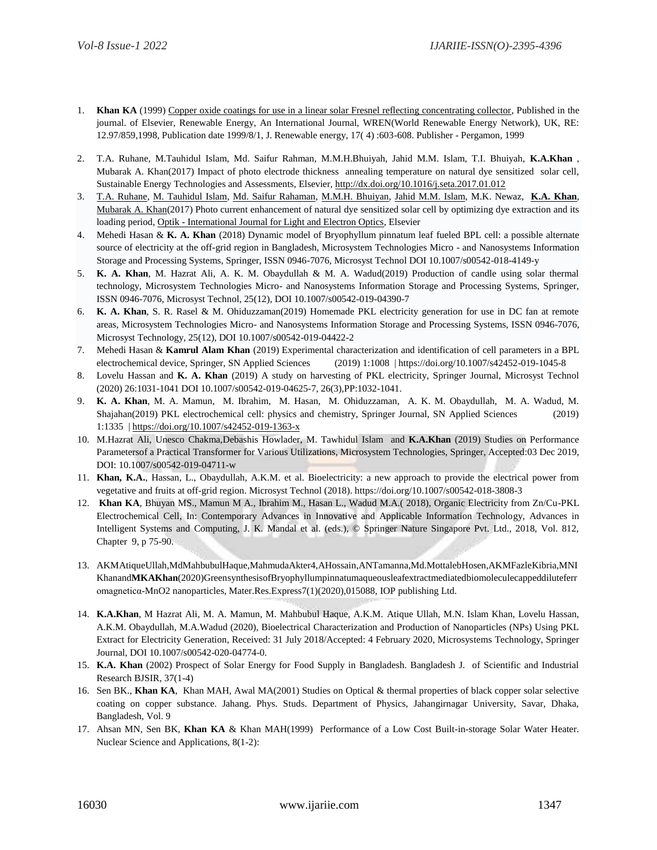- 1. **Khan KA** (1999) [Copper oxide coatings for use in a linear solar Fresnel reflecting concentrating collector,](http://www.sciencedirect.com/science/article/pii/S0960148198000238) Published in the journal. of Elsevier, Renewable Energy, An International Journal, WREN(World Renewable Energy Network), UK, RE: 12.97/859,1998, Publication date 1999/8/1, J. Renewable energy, 17( 4) :603-608. Publisher - Pergamon, 1999
- 2. T.A. Ruhane, M.Tauhidul Islam, Md. Saifur Rahman, M.M.H.Bhuiyah, Jahid M.M. Islam, T.I. Bhuiyah, **K.A.Khan** , Mubarak A. Khan(2017) Impact of photo electrode thickness annealing temperature on natural dye sensitized solar cell, Sustainable Energy Technologies and Assessments, Elsevier[, http://dx.doi.org/10.1016/j.seta.2017.01.012](http://dx.doi.org/10.1016/j.seta.2017.01.012)
- 3. [T.A. Ruhane, M. Tauhidul Islam, Md. Saifur Rahaman, M.M.H. Bhuiyan, Jahid M.M. Islam,](http://www.sciencedirect.com/science/article/pii/S0030402617310823) M.K. Newaz, **[K.A. Khan](http://www.sciencedirect.com/science/article/pii/S0030402617310823)**, [Mubarak A. Khan\(](http://www.sciencedirect.com/science/article/pii/S0030402617310823)2017) Photo current enhancement of natural dye sensitized solar cell by optimizing dye extraction and its loading period, Optik - [International Journal for Light and Electron Optics,](http://www.sciencedirect.com/science/journal/00304026) Elsevier
- 4. Mehedi Hasan & **K. A. Khan** (2018) Dynamic model of Bryophyllum pinnatum leaf fueled BPL cell: a possible alternate source of electricity at the off-grid region in Bangladesh, Microsystem Technologies Micro - and Nanosystems Information Storage and Processing Systems, Springer, ISSN 0946-7076, Microsyst Technol DOI 10.1007/s00542-018-4149-y
- 5. **K. A. Khan**, M. Hazrat Ali, A. K. M. Obaydullah & M. A. Wadud(2019) Production of candle using solar thermal technology, Microsystem Technologies Micro- and Nanosystems Information Storage and Processing Systems, Springer, ISSN 0946-7076, Microsyst Technol, 25(12), DOI 10.1007/s00542-019-04390-7
- 6. **K. A. Khan**, S. R. Rasel & M. Ohiduzzaman(2019) Homemade PKL electricity generation for use in DC fan at remote areas, Microsystem Technologies Micro- and Nanosystems Information Storage and Processing Systems, ISSN 0946-7076, Microsyst Technology, 25(12), DOI 10.1007/s00542-019-04422-2
- 7. Mehedi Hasan & **Kamrul Alam Khan** (2019) Experimental characterization and identification of cell parameters in a BPL electrochemical device, Springer, SN Applied Sciences (2019) 1:1008 | https://doi.org/10.1007/s42452-019-1045-8
- 8. Lovelu Hassan and **K. A. Khan** (2019) A study on harvesting of PKL electricity, Springer Journal, Microsyst Technol (2020) 26:1031-1041 DOI 10.1007/s00542-019-04625-7, 26(3),PP:1032-1041.
- 9. **K. A. Khan**, M. A. Mamun, M. Ibrahim, M. Hasan, M. Ohiduzzaman, A. K. M. Obaydullah, M. A. Wadud, M. Shajahan(2019) PKL electrochemical cell: physics and chemistry, Springer Journal, SN Applied Sciences (2019) 1:1335 [| https://doi.org/10.1007/s42452-019-1363-x](https://doi.org/10.1007/s42452-019-1363-x)
- 10. M.Hazrat Ali, Unesco Chakma,Debashis Howlader, M. Tawhidul Islam and **K.A.Khan** (2019) Studies on Performance Parametersof a Practical Transformer for Various Utilizations, Microsystem Technologies, Springer, Accepted:03 Dec 2019, DOI: 10.1007/s00542-019-04711-w
- 11. **Khan, K.A.**, Hassan, L., Obaydullah, A.K.M. et al. Bioelectricity: a new approach to provide the electrical power from vegetative and fruits at off-grid region. Microsyst Technol (2018). https://doi.org/10.1007/s00542-018-3808-3
- 12. **Khan KA**, Bhuyan MS., Mamun M A., Ibrahim M., Hasan L., Wadud M.A.( 2018), Organic Electricity from Zn/Cu-PKL Electrochemical Cell, In: Contemporary Advances in Innovative and Applicable Information Technology, Advances in Intelligent Systems and Computing, J. K. Mandal et al. (eds.), © Springer Nature Singapore Pvt. Ltd., 2018, Vol. 812, Chapter 9, p 75-90.
- 13. AKMAtiqueUllah,MdMahbubulHaque,MahmudaAkter4,AHossain,ANTamanna,Md.MottalebHosen,AKMFazleKibria,MNI Khanand**MKAKhan**(2020)GreensynthesisofBryophyllumpinnatumaqueousleafextractmediatedbiomoleculecappeddiluteferr omagneticα-MnO2 nanoparticles, Mater.Res.Express7(1)(2020),015088, IOP publishing Ltd.
- 14. **K.A.Khan**, M Hazrat Ali, M. A. Mamun, M. Mahbubul Haque, A.K.M. Atique Ullah, M.N. Islam Khan, Lovelu Hassan, A.K.M. Obaydullah, M.A.Wadud (2020), Bioelectrical Characterization and Production of Nanoparticles (NPs) Using PKL Extract for Electricity Generation, Received: 31 July 2018/Accepted: 4 February 2020, Microsystems Technology, Springer Journal, DOI 10.1007/s00542-020-04774-0.
- 15. **K.A. Khan** (2002) Prospect of Solar Energy for Food Supply in Bangladesh. Bangladesh J. of Scientific and Industrial Research BJSIR, 37(1-4)
- 16. Sen BK., **Khan KA**, Khan MAH, Awal MA(2001) Studies on Optical & thermal properties of black copper solar selective coating on copper substance. Jahang. Phys. Studs. Department of Physics, Jahangirnagar University, Savar, Dhaka, Bangladesh, Vol. 9
- 17. Ahsan MN, Sen BK, **Khan KA** & Khan MAH(1999) Performance of a Low Cost Built-in-storage Solar Water Heater. Nuclear Science and Applications, 8(1-2):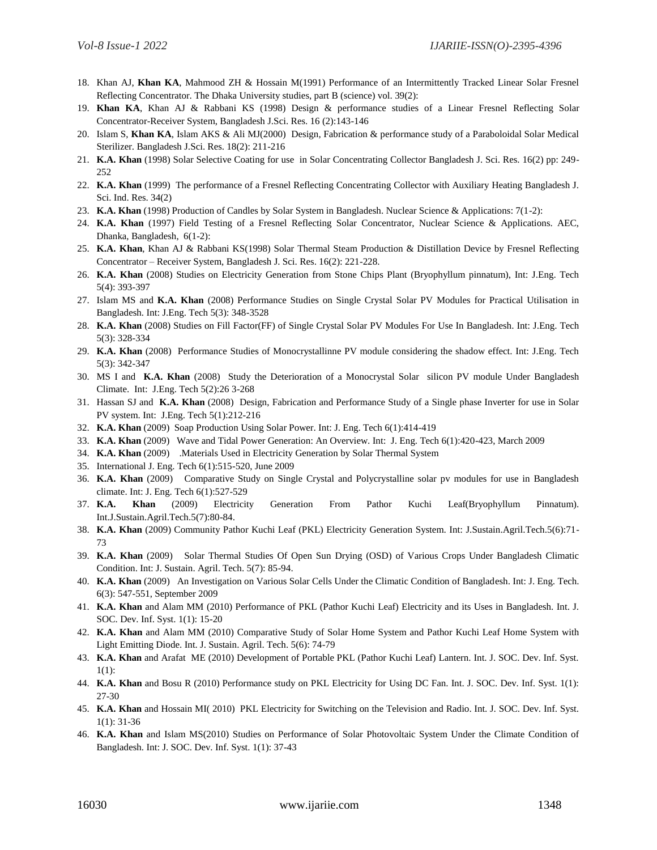- 18. Khan AJ, **Khan KA**, Mahmood ZH & Hossain M(1991) Performance of an Intermittently Tracked Linear Solar Fresnel Reflecting Concentrator. The Dhaka University studies, part B (science) vol. 39(2):
- 19. **Khan KA**, Khan AJ & Rabbani KS (1998) Design & performance studies of a Linear Fresnel Reflecting Solar Concentrator-Receiver System, Bangladesh J.Sci. Res. 16 (2):143-146
- 20. Islam S, **Khan KA**, Islam AKS & Ali MJ(2000) Design, Fabrication & performance study of a Paraboloidal Solar Medical Sterilizer. Bangladesh J.Sci. Res. 18(2): 211-216
- 21. **K.A. Khan** (1998) Solar Selective Coating for use in Solar Concentrating Collector Bangladesh J. Sci. Res. 16(2) pp: 249- 252
- 22. **K.A. Khan** (1999) The performance of a Fresnel Reflecting Concentrating Collector with Auxiliary Heating Bangladesh J. Sci. Ind. Res. 34(2)
- 23. **K.A. Khan** (1998) Production of Candles by Solar System in Bangladesh. Nuclear Science & Applications: 7(1-2):
- 24. **K.A. Khan** (1997) Field Testing of a Fresnel Reflecting Solar Concentrator, Nuclear Science & Applications. AEC, Dhanka, Bangladesh, 6(1-2):
- 25. **K.A. Khan**, Khan AJ & Rabbani KS(1998) Solar Thermal Steam Production & Distillation Device by Fresnel Reflecting Concentrator – Receiver System, Bangladesh J. Sci. Res. 16(2): 221-228.
- 26. **K.A. Khan** (2008) Studies on Electricity Generation from Stone Chips Plant (Bryophyllum pinnatum), Int: J.Eng. Tech 5(4): 393-397
- 27. Islam MS and **K.A. Khan** (2008) Performance Studies on Single Crystal Solar PV Modules for Practical Utilisation in Bangladesh. Int: J.Eng. Tech 5(3): 348-3528
- 28. **K.A. Khan** (2008) Studies on Fill Factor(FF) of Single Crystal Solar PV Modules For Use In Bangladesh. Int: J.Eng. Tech 5(3): 328-334
- 29. **K.A. Khan** (2008) Performance Studies of Monocrystallinne PV module considering the shadow effect. Int: J.Eng. Tech 5(3): 342-347
- 30. MS I and **K.A. Khan** (2008) Study the Deterioration of a Monocrystal Solar silicon PV module Under Bangladesh Climate. Int: J.Eng. Tech 5(2):26 3-268
- 31. Hassan SJ and **K.A. Khan** (2008) Design, Fabrication and Performance Study of a Single phase Inverter for use in Solar PV system. Int: J.Eng. Tech 5(1):212-216
- 32. **K.A. Khan** (2009) Soap Production Using Solar Power. Int: J. Eng. Tech 6(1):414-419
- 33. **K.A. Khan** (2009) Wave and Tidal Power Generation: An Overview. Int: J. Eng. Tech 6(1):420-423, March 2009
- 34. **K.A. Khan** (2009) .Materials Used in Electricity Generation by Solar Thermal System
- 35. International J. Eng. Tech 6(1):515-520, June 2009
- 36. **K.A. Khan** (2009) Comparative Study on Single Crystal and Polycrystalline solar pv modules for use in Bangladesh climate. Int: J. Eng. Tech 6(1):527-529
- 37. **K.A. Khan** (2009) Electricity Generation From Pathor Kuchi Leaf(Bryophyllum Pinnatum). Int.J.Sustain.Agril.Tech.5(7):80-84.
- 38. **K.A. Khan** (2009) Community Pathor Kuchi Leaf (PKL) Electricity Generation System. Int: J.Sustain.Agril.Tech.5(6):71- 73
- 39. **K.A. Khan** (2009) Solar Thermal Studies Of Open Sun Drying (OSD) of Various Crops Under Bangladesh Climatic Condition. Int: J. Sustain. Agril. Tech. 5(7): 85-94.
- 40. **K.A. Khan** (2009) An Investigation on Various Solar Cells Under the Climatic Condition of Bangladesh. Int: J. Eng. Tech. 6(3): 547-551, September 2009
- 41. **K.A. Khan** and Alam MM (2010) Performance of PKL (Pathor Kuchi Leaf) Electricity and its Uses in Bangladesh. Int. J. SOC. Dev. Inf. Syst. 1(1): 15-20
- 42. **K.A. Khan** and Alam MM (2010) Comparative Study of Solar Home System and Pathor Kuchi Leaf Home System with Light Emitting Diode. Int. J. Sustain. Agril. Tech. 5(6): 74-79
- 43. **K.A. Khan** and Arafat ME (2010) Development of Portable PKL (Pathor Kuchi Leaf) Lantern. Int. J. SOC. Dev. Inf. Syst. 1(1):
- 44. **K.A. Khan** and Bosu R (2010) Performance study on PKL Electricity for Using DC Fan. Int. J. SOC. Dev. Inf. Syst. 1(1): 27-30
- 45. **K.A. Khan** and Hossain MI( 2010) PKL Electricity for Switching on the Television and Radio. Int. J. SOC. Dev. Inf. Syst. 1(1): 31-36
- 46. **K.A. Khan** and Islam MS(2010) Studies on Performance of Solar Photovoltaic System Under the Climate Condition of Bangladesh. Int: J. SOC. Dev. Inf. Syst. 1(1): 37-43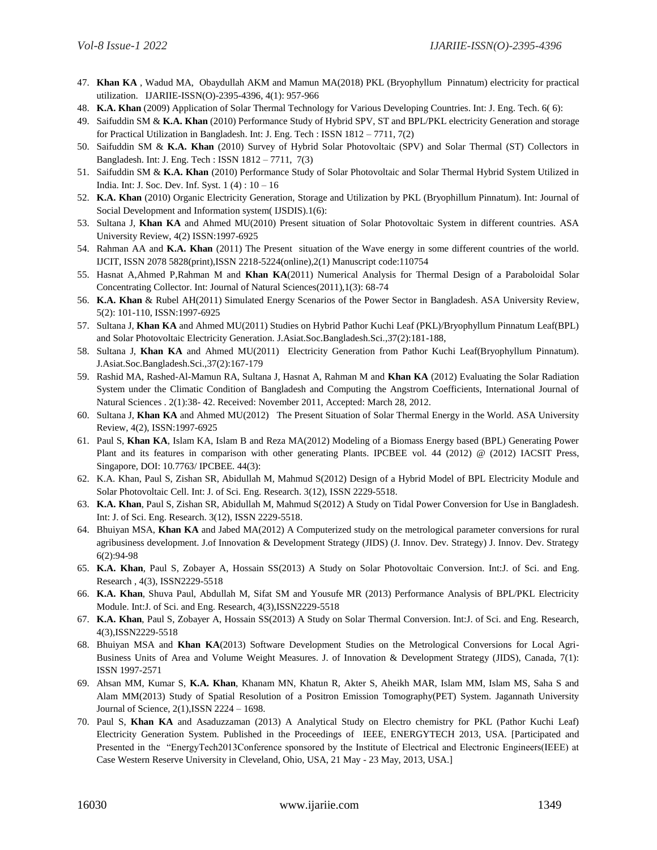- 47. **Khan KA** , Wadud MA, Obaydullah AKM and Mamun MA(2018) PKL (Bryophyllum Pinnatum) electricity for practical utilization. IJARIIE-ISSN(O)-2395-4396, 4(1): 957-966
- 48. **K.A. Khan** (2009) Application of Solar Thermal Technology for Various Developing Countries. Int: J. Eng. Tech. 6( 6):
- 49. Saifuddin SM & **K.A. Khan** (2010) Performance Study of Hybrid SPV, ST and BPL/PKL electricity Generation and storage for Practical Utilization in Bangladesh. Int: J. Eng. Tech : ISSN 1812 – 7711, 7(2)
- 50. Saifuddin SM & **K.A. Khan** (2010) Survey of Hybrid Solar Photovoltaic (SPV) and Solar Thermal (ST) Collectors in Bangladesh. Int: J. Eng. Tech : ISSN 1812 – 7711, 7(3)
- 51. Saifuddin SM & **K.A. Khan** (2010) Performance Study of Solar Photovoltaic and Solar Thermal Hybrid System Utilized in India. Int: J. Soc. Dev. Inf. Syst. 1 (4) : 10 – 16
- 52. **K.A. Khan** (2010) Organic Electricity Generation, Storage and Utilization by PKL (Bryophillum Pinnatum). Int: Journal of Social Development and Information system( IJSDIS).1(6):
- 53. Sultana J, **Khan KA** and Ahmed MU(2010) Present situation of Solar Photovoltaic System in different countries. ASA University Review, 4(2) ISSN:1997-6925
- 54. Rahman AA and **K.A. Khan** (2011) The Present situation of the Wave energy in some different countries of the world. IJCIT, ISSN 2078 5828(print),ISSN 2218-5224(online),2(1) Manuscript code:110754
- 55. Hasnat A,Ahmed P,Rahman M and **Khan KA**(2011) Numerical Analysis for Thermal Design of a Paraboloidal Solar Concentrating Collector. Int: Journal of Natural Sciences(2011),1(3): 68-74
- 56. **K.A. Khan** & Rubel AH(2011) Simulated Energy Scenarios of the Power Sector in Bangladesh. ASA University Review, 5(2): 101-110, ISSN:1997-6925
- 57. Sultana J, **Khan KA** and Ahmed MU(2011) Studies on Hybrid Pathor Kuchi Leaf (PKL)/Bryophyllum Pinnatum Leaf(BPL) and Solar Photovoltaic Electricity Generation. J.Asiat.Soc.Bangladesh.Sci.,37(2):181-188,
- 58. Sultana J, **Khan KA** and Ahmed MU(2011) Electricity Generation from Pathor Kuchi Leaf(Bryophyllum Pinnatum). J.Asiat.Soc.Bangladesh.Sci.,37(2):167-179
- 59. Rashid MA, Rashed-Al-Mamun RA, Sultana J, Hasnat A, Rahman M and **Khan KA** (2012) Evaluating the Solar Radiation System under the Climatic Condition of Bangladesh and Computing the Angstrom Coefficients, International Journal of Natural Sciences . 2(1):38- 42. Received: November 2011, Accepted: March 28, 2012.
- 60. Sultana J, **Khan KA** and Ahmed MU(2012) The Present Situation of Solar Thermal Energy in the World. ASA University Review, 4(2), ISSN:1997-6925
- 61. Paul S, **Khan KA**, Islam KA, Islam B and Reza MA(2012) Modeling of a Biomass Energy based (BPL) Generating Power Plant and its features in comparison with other generating Plants. IPCBEE vol. 44 (2012) @ (2012) IACSIT Press, Singapore, DOI: 10.7763/ IPCBEE. 44(3):
- 62. K.A. Khan, Paul S, Zishan SR, Abidullah M, Mahmud S(2012) Design of a Hybrid Model of BPL Electricity Module and Solar Photovoltaic Cell. Int: J. of Sci. Eng. Research. 3(12), ISSN 2229-5518.
- 63. **K.A. Khan**, Paul S, Zishan SR, Abidullah M, Mahmud S(2012) A Study on Tidal Power Conversion for Use in Bangladesh. Int: J. of Sci. Eng. Research. 3(12), ISSN 2229-5518.
- 64. Bhuiyan MSA, **Khan KA** and Jabed MA(2012) A Computerized study on the metrological parameter conversions for rural agribusiness development. J.of Innovation & Development Strategy (JIDS) (J. Innov. Dev. Strategy) J. Innov. Dev. Strategy 6(2):94-98
- 65. **K.A. Khan**, Paul S, Zobayer A, Hossain SS(2013) A Study on Solar Photovoltaic Conversion. Int:J. of Sci. and Eng. Research , 4(3), ISSN2229-5518
- 66. **K.A. Khan**, Shuva Paul, Abdullah M, Sifat SM and Yousufe MR (2013) Performance Analysis of BPL/PKL Electricity Module. Int:J. of Sci. and Eng. Research, 4(3),ISSN2229-5518
- 67. **K.A. Khan**, Paul S, Zobayer A, Hossain SS(2013) A Study on Solar Thermal Conversion. Int:J. of Sci. and Eng. Research, 4(3),ISSN2229-5518
- 68. Bhuiyan MSA and **Khan KA**(2013) Software Development Studies on the Metrological Conversions for Local Agri-Business Units of Area and Volume Weight Measures. J. of Innovation & Development Strategy (JIDS), Canada, 7(1): ISSN 1997-2571
- 69. Ahsan MM, Kumar S, **K.A. Khan**, Khanam MN, Khatun R, Akter S, Aheikh MAR, Islam MM, Islam MS, Saha S and Alam MM(2013) Study of Spatial Resolution of a Positron Emission Tomography(PET) System. Jagannath University Journal of Science, 2(1),ISSN 2224 – 1698.
- 70. Paul S, **Khan KA** and Asaduzzaman (2013) A Analytical Study on Electro chemistry for PKL (Pathor Kuchi Leaf) Electricity Generation System. Published in the Proceedings of IEEE, ENERGYTECH 2013, USA. [Participated and Presented in the "EnergyTech2013Conference sponsored by the Institute of Electrical and Electronic Engineers(IEEE) at Case Western Reserve University in Cleveland, Ohio, USA, 21 May - 23 May, 2013, USA.]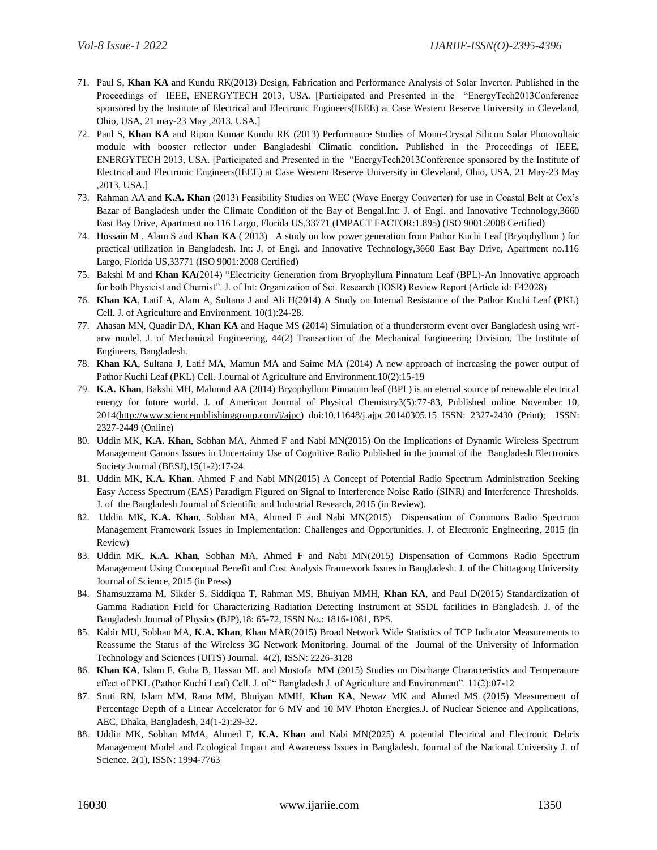- 71. Paul S, **Khan KA** and Kundu RK(2013) Design, Fabrication and Performance Analysis of Solar Inverter. Published in the Proceedings of IEEE, ENERGYTECH 2013, USA. [Participated and Presented in the "EnergyTech2013Conference sponsored by the Institute of Electrical and Electronic Engineers(IEEE) at Case Western Reserve University in Cleveland, Ohio, USA, 21 may-23 May ,2013, USA.]
- 72. Paul S, **Khan KA** and Ripon Kumar Kundu RK (2013) Performance Studies of Mono-Crystal Silicon Solar Photovoltaic module with booster reflector under Bangladeshi Climatic condition. Published in the Proceedings of IEEE, ENERGYTECH 2013, USA. [Participated and Presented in the "EnergyTech2013Conference sponsored by the Institute of Electrical and Electronic Engineers(IEEE) at Case Western Reserve University in Cleveland, Ohio, USA, 21 May-23 May ,2013, USA.]
- 73. Rahman AA and **K.A. Khan** (2013) Feasibility Studies on WEC (Wave Energy Converter) for use in Coastal Belt at Cox's Bazar of Bangladesh under the Climate Condition of the Bay of Bengal.Int: J. of Engi. and Innovative Technology,3660 East Bay Drive, Apartment no.116 Largo, Florida US,33771 (IMPACT FACTOR:1.895) (ISO 9001:2008 Certified)
- 74. Hossain M , Alam S and **Khan KA** ( 2013) A study on low power generation from Pathor Kuchi Leaf (Bryophyllum ) for practical utilization in Bangladesh. Int: J. of Engi. and Innovative Technology,3660 East Bay Drive, Apartment no.116 Largo, Florida US,33771 (ISO 9001:2008 Certified)
- 75. Bakshi M and **Khan KA**(2014) "Electricity Generation from Bryophyllum Pinnatum Leaf (BPL)-An Innovative approach for both Physicist and Chemist". J. of Int: Organization of Sci. Research (IOSR) Review Report (Article id: F42028)
- 76. **Khan KA**, Latif A, Alam A, Sultana J and Ali H(2014) A Study on Internal Resistance of the Pathor Kuchi Leaf (PKL) Cell. J. of Agriculture and Environment. 10(1):24-28.
- 77. Ahasan MN, Quadir DA, **Khan KA** and Haque MS (2014) Simulation of a thunderstorm event over Bangladesh using wrfarw model. J. of Mechanical Engineering, 44(2) Transaction of the Mechanical Engineering Division, The Institute of Engineers, Bangladesh.
- 78. **Khan KA**, Sultana J, Latif MA, Mamun MA and Saime MA (2014) A new approach of increasing the power output of Pathor Kuchi Leaf (PKL) Cell. J.ournal of Agriculture and Environment.10(2):15-19
- 79. **K.A. Khan**, Bakshi MH, Mahmud AA (2014) Bryophyllum Pinnatum leaf (BPL) is an eternal source of renewable electrical energy for future world. J. of American Journal of Physical Chemistry3(5):77-83, Published online November 10, 2014[\(http://www.sciencepublishinggroup.com/j/ajpc\)](http://www.sciencepublishinggroup.com/j/ajpc) doi:10.11648/j.ajpc.20140305.15 ISSN: 2327-2430 (Print); ISSN: 2327-2449 (Online)
- 80. Uddin MK, **K.A. Khan**, Sobhan MA, Ahmed F and Nabi MN(2015) On the Implications of Dynamic Wireless Spectrum Management Canons Issues in Uncertainty Use of Cognitive Radio Published in the journal of the Bangladesh Electronics Society Journal (BESJ),15(1-2):17-24
- 81. Uddin MK, **K.A. Khan**, Ahmed F and Nabi MN(2015) A Concept of Potential Radio Spectrum Administration Seeking Easy Access Spectrum (EAS) Paradigm Figured on Signal to Interference Noise Ratio (SINR) and Interference Thresholds. J. of the Bangladesh Journal of Scientific and Industrial Research, 2015 (in Review).
- 82. Uddin MK, **K.A. Khan**, Sobhan MA, Ahmed F and Nabi MN(2015) Dispensation of Commons Radio Spectrum Management Framework Issues in Implementation: Challenges and Opportunities. J. of Electronic Engineering, 2015 (in Review)
- 83. Uddin MK, **K.A. Khan**, Sobhan MA, Ahmed F and Nabi MN(2015) Dispensation of Commons Radio Spectrum Management Using Conceptual Benefit and Cost Analysis Framework Issues in Bangladesh. J. of the Chittagong University Journal of Science, 2015 (in Press)
- 84. Shamsuzzama M, Sikder S, Siddiqua T, Rahman MS, Bhuiyan MMH, **Khan KA**, and Paul D(2015) Standardization of Gamma Radiation Field for Characterizing Radiation Detecting Instrument at SSDL facilities in Bangladesh. J. of the Bangladesh Journal of Physics (BJP),18: 65-72, ISSN No.: 1816-1081, BPS.
- 85. Kabir MU, Sobhan MA, **K.A. Khan**, Khan MAR(2015) Broad Network Wide Statistics of TCP Indicator Measurements to Reassume the Status of the Wireless 3G Network Monitoring. Journal of the Journal of the University of Information Technology and Sciences (UITS) Journal. 4(2), ISSN: 2226-3128
- 86. **Khan KA**, Islam F, Guha B, Hassan ML and Mostofa MM (2015) Studies on Discharge Characteristics and Temperature effect of PKL (Pathor Kuchi Leaf) Cell. J. of " Bangladesh J. of Agriculture and Environment". 11(2):07-12
- 87. Sruti RN, Islam MM, Rana MM, Bhuiyan MMH, **Khan KA**, Newaz MK and Ahmed MS (2015) Measurement of Percentage Depth of a Linear Accelerator for 6 MV and 10 MV Photon Energies.J. of Nuclear Science and Applications, AEC, Dhaka, Bangladesh, 24(1-2):29-32.
- 88. Uddin MK, Sobhan MMA, Ahmed F, **K.A. Khan** and Nabi MN(2025) A potential Electrical and Electronic Debris Management Model and Ecological Impact and Awareness Issues in Bangladesh. Journal of the National University J. of Science. 2(1), ISSN: 1994-7763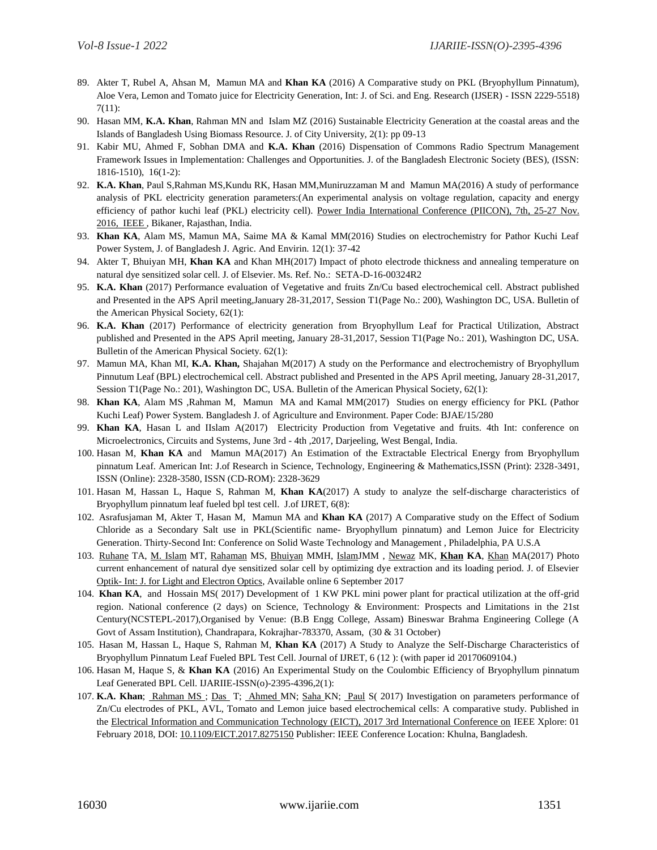- 89. Akter T, Rubel A, Ahsan M, Mamun MA and **Khan KA** (2016) A Comparative study on PKL (Bryophyllum Pinnatum), Aloe Vera, Lemon and Tomato juice for Electricity Generation, Int: J. of Sci. and Eng. Research (IJSER) - ISSN 2229-5518) 7(11):
- 90. Hasan MM, **K.A. Khan**, Rahman MN and Islam MZ (2016) Sustainable Electricity Generation at the coastal areas and the Islands of Bangladesh Using Biomass Resource. J. of City University, 2(1): pp 09-13
- 91. Kabir MU, Ahmed F, Sobhan DMA and **K.A. Khan** (2016) Dispensation of Commons Radio Spectrum Management Framework Issues in Implementation: Challenges and Opportunities. J. of the Bangladesh Electronic Society (BES), (ISSN: 1816-1510), 16(1-2):
- 92. **K.A. Khan**, Paul S,Rahman MS,Kundu RK, Hasan MM,Muniruzzaman M and Mamun MA(2016) A study of performance analysis of PKL electricity generation parameters:(An experimental analysis on voltage regulation, capacity and energy efficiency of pathor kuchi leaf (PKL) electricity cell). Power India International Conference (PIICON), 7th, 25-27 Nov. [2016, IEEE ,](http://ieeexplore.ieee.org/xpl/mostRecentIssue.jsp?punumber=8055167) Bikaner, Rajasthan, India.
- 93. **Khan KA**, Alam MS, Mamun MA, Saime MA & Kamal MM(2016) Studies on electrochemistry for Pathor Kuchi Leaf Power System, J. of Bangladesh J. Agric. And Envirin. 12(1): 37-42
- 94. Akter T, Bhuiyan MH, **Khan KA** and Khan MH(2017) Impact of photo electrode thickness and annealing temperature on natural dye sensitized solar cell. J. of Elsevier. Ms. Ref. No.: SETA-D-16-00324R2
- 95. **K.A. Khan** (2017) Performance evaluation of Vegetative and fruits Zn/Cu based electrochemical cell. Abstract published and Presented in the APS April meeting,January 28-31,2017, Session T1(Page No.: 200), Washington DC, USA. Bulletin of the American Physical Society, 62(1):
- 96. **K.A. Khan** (2017) Performance of electricity generation from Bryophyllum Leaf for Practical Utilization, Abstract published and Presented in the APS April meeting, January 28-31,2017, Session T1(Page No.: 201), Washington DC, USA. Bulletin of the American Physical Society. 62(1):
- 97. Mamun MA, Khan MI, **K.A. Khan,** Shajahan M(2017) A study on the Performance and electrochemistry of Bryophyllum Pinnutum Leaf (BPL) electrochemical cell. Abstract published and Presented in the APS April meeting, January 28-31,2017, Session T1(Page No.: 201), Washington DC, USA. Bulletin of the American Physical Society, 62(1):
- 98. **Khan KA**, Alam MS ,Rahman M, Mamun MA and Kamal MM(2017) Studies on energy efficiency for PKL (Pathor Kuchi Leaf) Power System. Bangladesh J. of Agriculture and Environment. Paper Code: BJAE/15/280
- 99. **Khan KA**, Hasan L and IIslam A(2017) Electricity Production from Vegetative and fruits. 4th Int: conference on Microelectronics, Circuits and Systems, June 3rd - 4th ,2017, Darjeeling, West Bengal, India.
- 100. Hasan M, **Khan KA** and Mamun MA(2017) An Estimation of the Extractable Electrical Energy from Bryophyllum pinnatum Leaf. American Int: J.of Research in Science, Technology, Engineering & Mathematics,ISSN (Print): 2328-3491, ISSN (Online): 2328-3580, ISSN (CD-ROM): 2328-3629
- 101. Hasan M, Hassan L, Haque S, Rahman M, **Khan KA**(2017) A study to analyze the self-discharge characteristics of Bryophyllum pinnatum leaf fueled bpl test cell. J.of IJRET, 6(8):
- 102. Asrafusjaman M, Akter T, Hasan M, Mamun MA and **Khan KA** (2017) A Comparative study on the Effect of Sodium Chloride as a Secondary Salt use in PKL(Scientific name- Bryophyllum pinnatum) and Lemon Juice for Electricity Generation. Thirty-Second Int: Conference on Solid Waste Technology and Management , Philadelphia, PA U.S.A
- 103. [Ruhane](http://www.sciencedirect.com/science/article/pii/S0030402617310823) TA, [M. Islam](http://www.sciencedirect.com/science/article/pii/S0030402617310823) MT, [Rahaman](http://www.sciencedirect.com/science/article/pii/S0030402617310823) MS, [Bhuiyan](http://www.sciencedirect.com/science/article/pii/S0030402617310823) MMH, [IslamJ](http://www.sciencedirect.com/science/article/pii/S0030402617310823)MM , [Newaz](http://www.sciencedirect.com/science/article/pii/S0030402617310823) MK, **[Khan](http://www.sciencedirect.com/science/article/pii/S0030402617310823) KA**, [Khan](http://www.sciencedirect.com/science/article/pii/S0030402617310823) MA(2017) Photo current enhancement of natural dye sensitized solar cell by optimizing dye extraction and its loading period. J. of Elsevier Optik- [Int: J. for Light and Electron Optics,](http://www.sciencedirect.com/science/journal/00304026) Available online 6 September 2017
- 104. **Khan KA**, and Hossain MS( 2017) Development of 1 KW PKL mini power plant for practical utilization at the off-grid region. National conference (2 days) on Science, Technology & Environment: Prospects and Limitations in the 21st Century(NCSTEPL-2017),Organised by Venue: (B.B Engg College, Assam) Bineswar Brahma Engineering College (A Govt of Assam Institution), Chandrapara, Kokrajhar-783370, Assam, (30 & 31 October)
- 105. Hasan M, Hassan L, Haque S, Rahman M, **Khan KA** (2017) A Study to Analyze the Self-Discharge Characteristics of Bryophyllum Pinnatum Leaf Fueled BPL Test Cell. Journal of IJRET, 6 (12 ): (with paper id 20170609104.)
- 106. Hasan M, Haque S, & **Khan KA** (2016) An Experimental Study on the Coulombic Efficiency of Bryophyllum pinnatum Leaf Generated BPL Cell. IJARIIE-ISSN(o)-2395-4396,2(1):
- 107. K.A. Khan; [Rahman MS ;](http://ieeexplore.ieee.org/search/searchresult.jsp?searchWithin=%22Authors%22:.QT.Md.%20Siddikur%20Rahman.QT.&newsearch=true) [Das](http://ieeexplore.ieee.org/search/searchresult.jsp?searchWithin=%22Authors%22:.QT.Tanmoy%20Das.QT.&newsearch=true) T; [Ahmed M](http://ieeexplore.ieee.org/search/searchresult.jsp?searchWithin=%22Authors%22:.QT.Muhammad%20Najebul%20Ahmed.QT.&newsearch=true)N; [Saha K](http://ieeexplore.ieee.org/search/searchresult.jsp?searchWithin=%22Authors%22:.QT.Kaushik%20Nandan%20Saha.QT.&newsearch=true)N; [Paul](http://ieeexplore.ieee.org/search/searchresult.jsp?searchWithin=%22Authors%22:.QT.Shuva%20Paul.QT.&newsearch=true) S( 2017) Investigation on parameters performance of Zn/Cu electrodes of PKL, AVL, Tomato and Lemon juice based electrochemical cells: A comparative study. Published in th[e Electrical Information and Communication Technology \(EICT\), 2017 3rd International Conference on](http://ieeexplore.ieee.org/xpl/mostRecentIssue.jsp?punumber=8261001) IEEE Xplore: 01 February 2018, DOI: [10.1109/EICT.2017.8275150](https://doi.org/10.1109/EICT.2017.8275150) Publisher: IEEE Conference Location: Khulna, Bangladesh.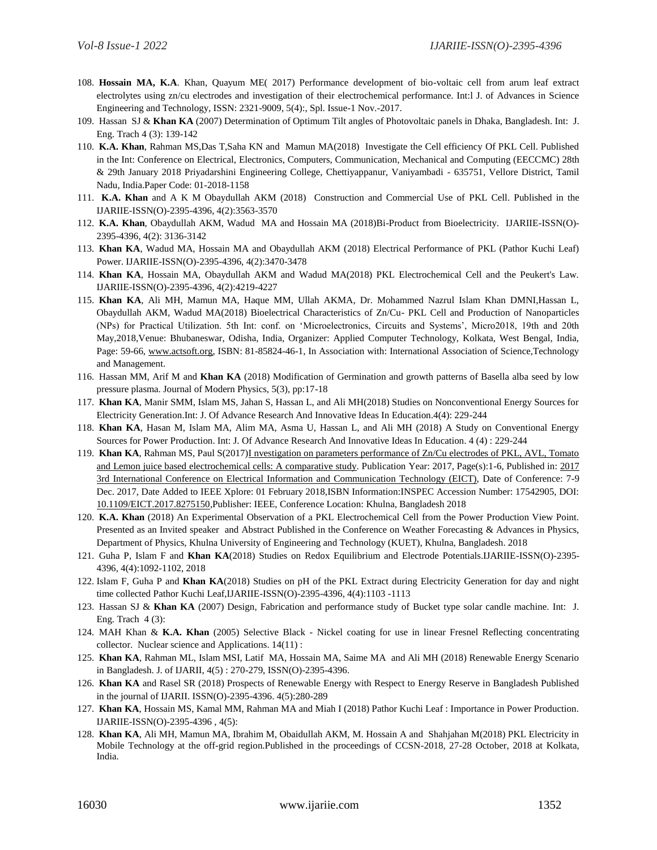- 108. **Hossain MA, K.A**. Khan, Quayum ME( 2017) Performance development of bio-voltaic cell from arum leaf extract electrolytes using zn/cu electrodes and investigation of their electrochemical performance. Int:l J. of Advances in Science Engineering and Technology, ISSN: 2321-9009, 5(4):, Spl. Issue-1 Nov.-2017.
- 109. Hassan SJ & **Khan KA** (2007) Determination of Optimum Tilt angles of Photovoltaic panels in Dhaka, Bangladesh. Int: J. Eng. Trach 4 (3): 139-142
- 110. **K.A. Khan**, Rahman MS,Das T,Saha KN and Mamun MA(2018) Investigate the Cell efficiency Of PKL Cell. Published in the Int: Conference on Electrical, Electronics, Computers, Communication, Mechanical and Computing (EECCMC) 28th & 29th January 2018 Priyadarshini Engineering College, Chettiyappanur, Vaniyambadi - 635751, Vellore District, Tamil Nadu, India.Paper Code: 01-2018-1158
- 111. **K.A. Khan** and A K M Obaydullah AKM (2018) Construction and Commercial Use of PKL Cell. Published in the IJARIIE-ISSN(O)-2395-4396, 4(2):3563-3570
- 112. **K.A. Khan**, Obaydullah AKM, Wadud MA and Hossain MA (2018)Bi-Product from Bioelectricity. IJARIIE-ISSN(O)- 2395-4396, 4(2): 3136-3142
- 113. **Khan KA**, Wadud MA, Hossain MA and Obaydullah AKM (2018) Electrical Performance of PKL (Pathor Kuchi Leaf) Power. IJARIIE-ISSN(O)-2395-4396, 4(2):3470-3478
- 114. **Khan KA**, Hossain MA, Obaydullah AKM and Wadud MA(2018) PKL Electrochemical Cell and the Peukert's Law. IJARIIE-ISSN(O)-2395-4396, 4(2):4219-4227
- 115. **Khan KA**, Ali MH, Mamun MA, Haque MM, Ullah AKMA, Dr. Mohammed Nazrul Islam Khan DMNI,Hassan L, Obaydullah AKM, Wadud MA(2018) Bioelectrical Characteristics of Zn/Cu- PKL Cell and Production of Nanoparticles (NPs) for Practical Utilization. 5th Int: conf. on 'Microelectronics, Circuits and Systems', Micro2018, 19th and 20th May,2018,Venue: Bhubaneswar, Odisha, India, Organizer: Applied Computer Technology, Kolkata, West Bengal, India, Page: 59-66, [www.actsoft.org,](http://www.actsoft.org/) ISBN: 81-85824-46-1, In Association with: International Association of Science,Technology and Management.
- 116. Hassan MM, Arif M and **Khan KA** (2018) Modification of Germination and growth patterns of Basella alba seed by low pressure plasma. Journal of Modern Physics, 5(3), pp:17-18
- 117. **Khan KA**, Manir SMM, Islam MS, Jahan S, Hassan L, and Ali MH(2018) Studies on Nonconventional Energy Sources for Electricity Generation.Int: J. Of Advance Research And Innovative Ideas In Education.4(4): 229-244
- 118. **Khan KA**, Hasan M, Islam MA, Alim MA, Asma U, Hassan L, and Ali MH (2018) A Study on Conventional Energy Sources for Power Production. Int: J. Of Advance Research And Innovative Ideas In Education. 4 (4) : 229-244
- 119. **Khan KA**, Rahman MS, Paul S(2017[\)I nvestigation on parameters performance of Zn/Cu electrodes of PKL, AVL, Tomato](https://ieeexplore.ieee.org/document/8275150/)  [and Lemon juice based electrochemical cells: A comparative study.](https://ieeexplore.ieee.org/document/8275150/) Publication Year: 2017, Page(s):1-6, Published in: [2017](https://ieeexplore.ieee.org/xpl/mostRecentIssue.jsp?punumber=8261001)  [3rd International Conference on Electrical Information and Communication Technology \(EICT\),](https://ieeexplore.ieee.org/xpl/mostRecentIssue.jsp?punumber=8261001) Date of Conference: 7-9 Dec. 2017, Date Added to IEEE Xplore: 01 February 2018,ISBN Information:INSPEC Accession Number: 17542905, DOI: [10.1109/EICT.2017.8275150,](https://doi.org/10.1109/EICT.2017.8275150)Publisher: IEEE, Conference Location: Khulna, Bangladesh 2018
- 120. **K.A. Khan** (2018) An Experimental Observation of a PKL Electrochemical Cell from the Power Production View Point. Presented as an Invited speaker and Abstract Published in the Conference on Weather Forecasting & Advances in Physics, Department of Physics, Khulna University of Engineering and Technology (KUET), Khulna, Bangladesh. 2018
- 121. Guha P, Islam F and **Khan KA**(2018) Studies on Redox Equilibrium and Electrode Potentials.IJARIIE-ISSN(O)-2395- 4396, 4(4):1092-1102, 2018
- 122. Islam F, Guha P and **Khan KA**(2018) Studies on pH of the PKL Extract during Electricity Generation for day and night time collected Pathor Kuchi Leaf,IJARIIE-ISSN(O)-2395-4396, 4(4):1103 -1113
- 123. Hassan SJ & **Khan KA** (2007) Design, Fabrication and performance study of Bucket type solar candle machine. Int: J. Eng. Trach  $4(3)$ :
- 124. MAH Khan & **K.A. Khan** (2005) Selective Black Nickel coating for use in linear Fresnel Reflecting concentrating collector. Nuclear science and Applications. 14(11) :
- 125. **Khan KA**, Rahman ML, Islam MSI, Latif MA, Hossain MA, Saime MA and Ali MH (2018) Renewable Energy Scenario in Bangladesh. J. of IJARII, 4(5) : 270-279, ISSN(O)-2395-4396.
- 126. **Khan KA** and Rasel SR (2018) Prospects of Renewable Energy with Respect to Energy Reserve in Bangladesh Published in the journal of IJARII. ISSN(O)-2395-4396. 4(5):280-289
- 127. **Khan KA**, Hossain MS, Kamal MM, Rahman MA and Miah I (2018) Pathor Kuchi Leaf : Importance in Power Production. IJARIIE-ISSN(O)-2395-4396 , 4(5):
- 128. **Khan KA**, Ali MH, Mamun MA, Ibrahim M, Obaidullah AKM, M. Hossain A and Shahjahan M(2018) PKL Electricity in Mobile Technology at the off-grid region.Published in the proceedings of CCSN-2018, 27-28 October, 2018 at Kolkata, India.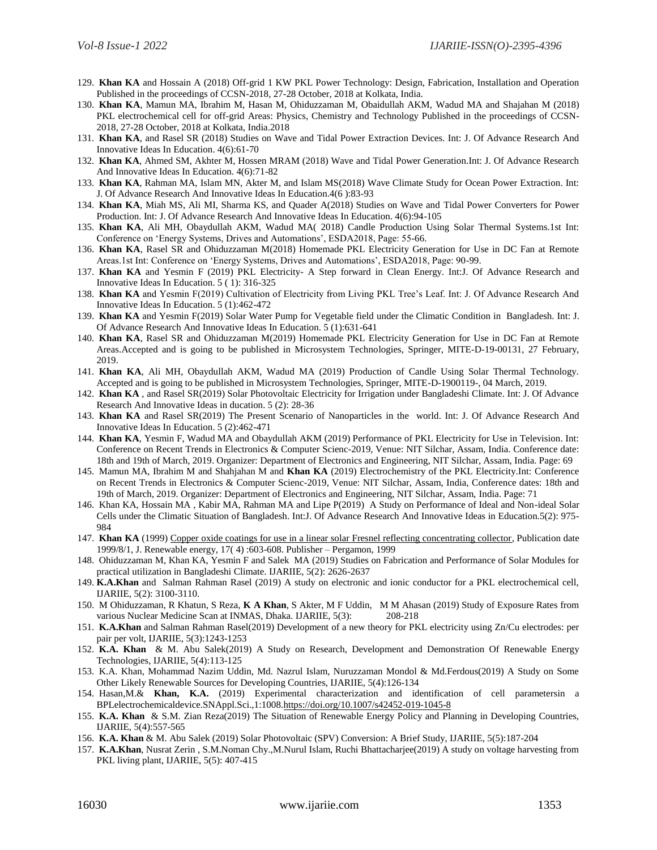- 129. **Khan KA** and Hossain A (2018) Off-grid 1 KW PKL Power Technology: Design, Fabrication, Installation and Operation Published in the proceedings of CCSN-2018, 27-28 October, 2018 at Kolkata, India.
- 130. **Khan KA**, Mamun MA, Ibrahim M, Hasan M, Ohiduzzaman M, Obaidullah AKM, Wadud MA and Shajahan M (2018) PKL electrochemical cell for off-grid Areas: Physics, Chemistry and Technology Published in the proceedings of CCSN-2018, 27-28 October, 2018 at Kolkata, India.2018
- 131. **Khan KA**, and Rasel SR (2018) Studies on Wave and Tidal Power Extraction Devices. Int: J. Of Advance Research And Innovative Ideas In Education. 4(6):61-70
- 132. **Khan KA**, Ahmed SM, Akhter M, Hossen MRAM (2018) Wave and Tidal Power Generation.Int: J. Of Advance Research And Innovative Ideas In Education. 4(6):71-82
- 133. **Khan KA**, Rahman MA, Islam MN, Akter M, and Islam MS(2018) Wave Climate Study for Ocean Power Extraction. Int: J. Of Advance Research And Innovative Ideas In Education.4(6 ):83-93
- 134. **Khan KA**, Miah MS, Ali MI, Sharma KS, and Quader A(2018) Studies on Wave and Tidal Power Converters for Power Production. Int: J. Of Advance Research And Innovative Ideas In Education. 4(6):94-105
- 135. **Khan KA**, Ali MH, Obaydullah AKM, Wadud MA( 2018) Candle Production Using Solar Thermal Systems.1st Int: Conference on 'Energy Systems, Drives and Automations', ESDA2018, Page: 55-66.
- 136. **Khan KA**, Rasel SR and Ohiduzzaman M(2018) Homemade PKL Electricity Generation for Use in DC Fan at Remote Areas.1st Int: Conference on 'Energy Systems, Drives and Automations', ESDA2018, Page: 90-99.
- 137. **Khan KA** and Yesmin F (2019) PKL Electricity- A Step forward in Clean Energy. Int:J. Of Advance Research and Innovative Ideas In Education. 5 ( 1): 316-325
- 138. **Khan KA** and Yesmin F(2019) Cultivation of Electricity from Living PKL Tree's Leaf. Int: J. Of Advance Research And Innovative Ideas In Education. 5 (1):462-472
- 139. **Khan KA** and Yesmin F(2019) Solar Water Pump for Vegetable field under the Climatic Condition in Bangladesh. Int: J. Of Advance Research And Innovative Ideas In Education. 5 (1):631-641
- 140. **Khan KA**, Rasel SR and Ohiduzzaman M(2019) Homemade PKL Electricity Generation for Use in DC Fan at Remote Areas.Accepted and is going to be published in Microsystem Technologies, Springer, MITE-D-19-00131, 27 February, 2019.
- 141. **Khan KA**, Ali MH, Obaydullah AKM, Wadud MA (2019) Production of Candle Using Solar Thermal Technology. Accepted and is going to be published in Microsystem Technologies, Springer, MITE-D-1900119-, 04 March, 2019.
- 142. **Khan KA** , and Rasel SR(2019) Solar Photovoltaic Electricity for Irrigation under Bangladeshi Climate. Int: J. Of Advance Research And Innovative Ideas in ducation. 5 (2): 28-36
- 143. **Khan KA** and Rasel SR(2019) The Present Scenario of Nanoparticles in the world. Int: J. Of Advance Research And Innovative Ideas In Education. 5 (2):462-471
- 144. **Khan KA**, Yesmin F, Wadud MA and Obaydullah AKM (2019) Performance of PKL Electricity for Use in Television. Int: Conference on Recent Trends in Electronics & Computer Scienc-2019, Venue: NIT Silchar, Assam, India. Conference date: 18th and 19th of March, 2019. Organizer: Department of Electronics and Engineering, NIT Silchar, Assam, India. Page: 69
- 145. Mamun MA, Ibrahim M and Shahjahan M and **Khan KA** (2019) Electrochemistry of the PKL Electricity.Int: Conference on Recent Trends in Electronics & Computer Scienc-2019, Venue: NIT Silchar, Assam, India, Conference dates: 18th and 19th of March, 2019. Organizer: Department of Electronics and Engineering, NIT Silchar, Assam, India. Page: 71
- 146. Khan KA, Hossain MA , Kabir MA, Rahman MA and Lipe P(2019) A Study on Performance of Ideal and Non-ideal Solar Cells under the Climatic Situation of Bangladesh. Int:J. Of Advance Research And Innovative Ideas in Education.5(2): 975- 984
- 147. **Khan KA** (1999[\) Copper oxide coatings for use in a linear solar Fresnel reflecting concentrating collector,](http://www.sciencedirect.com/science/article/pii/S0960148198000238) Publication date 1999/8/1, J. Renewable energy, 17( 4) :603-608. Publisher – Pergamon, 1999
- 148. Ohiduzzaman M, Khan KA, Yesmin F and Salek MA (2019) Studies on Fabrication and Performance of Solar Modules for practical utilization in Bangladeshi Climate. IJARIIE, 5(2): 2626-2637
- 149. **K.A.Khan** and Salman Rahman Rasel (2019) A study on electronic and ionic conductor for a PKL electrochemical cell, IJARIIE, 5(2): 3100-3110.
- 150. M Ohiduzzaman, R Khatun, S Reza, **K A Khan**, S Akter, M F Uddin, M M Ahasan (2019) Study of Exposure Rates from various Nuclear Medicine Scan at INMAS, Dhaka. IJARIIE, 5(3): 208-218
- 151. **K.A.Khan** and Salman Rahman Rasel(2019) Development of a new theory for PKL electricity using Zn/Cu electrodes: per pair per volt, IJARIIE, 5(3):1243-1253
- 152. **K.A. Khan** & M. Abu Salek(2019) A Study on Research, Development and Demonstration Of Renewable Energy Technologies, IJARIIE, 5(4):113-125
- 153. K.A. Khan, Mohammad Nazim Uddin, Md. Nazrul Islam, Nuruzzaman Mondol & Md.Ferdous(2019) A Study on Some Other Likely Renewable Sources for Developing Countries, IJARIIE, 5(4):126-134
- 154. Hasan,M.& **Khan, K.A.** (2019) Experimental characterization and identification of cell parametersin a BPLelectrochemicaldevice.SNAppl.Sci.,1:1008[.https://doi.org/10.1007/s42452-019-1045-8](https://doi.org/10.1007/s42452-019-1045-8)
- 155. **K.A. Khan** & S.M. Zian Reza(2019) The Situation of Renewable Energy Policy and Planning in Developing Countries, IJARIIE, 5(4):557-565
- 156. **K.A. Khan** & M. Abu Salek (2019) Solar Photovoltaic (SPV) Conversion: A Brief Study, IJARIIE, 5(5):187-204
- 157. **K.A.Khan**, Nusrat Zerin , S.M.Noman Chy.,M.Nurul Islam, Ruchi Bhattacharjee(2019) A study on voltage harvesting from PKL living plant, IJARIIE, 5(5): 407-415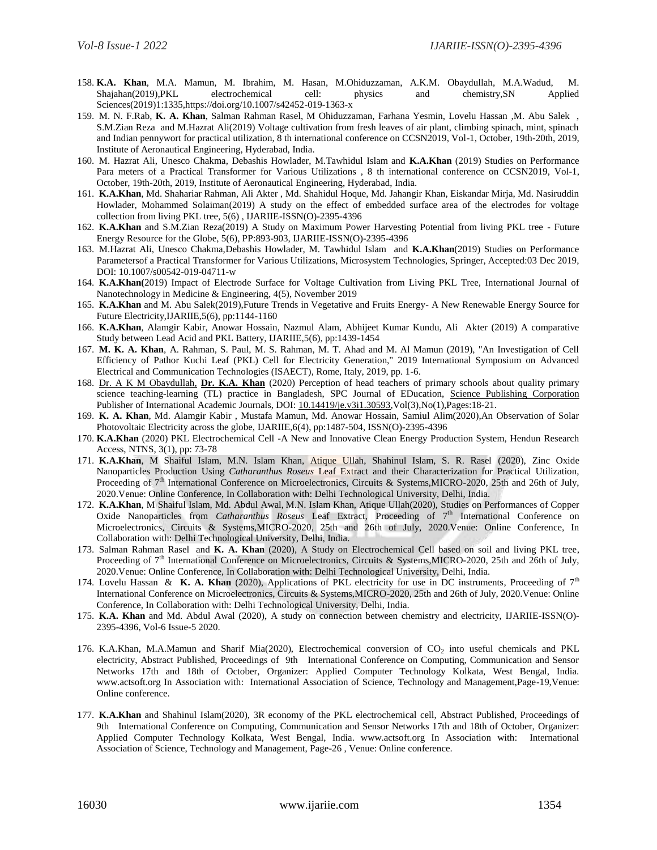- 158. **K.A. Khan**, M.A. Mamun, M. Ibrahim, M. Hasan, M.Ohiduzzaman, A.K.M. Obaydullah, M.A.Wadud, M. Shajahan(2019),PKL electrochemical cell: physics and chemistry,SN Applied Sciences(2019)1:1335,https://doi.org/10.1007/s42452-019-1363-x
- 159. M. N. F.Rab, **K. A. Khan**, Salman Rahman Rasel, M Ohiduzzaman, Farhana Yesmin, Lovelu Hassan ,M. Abu Salek , S.M.Zian Reza and M.Hazrat Ali(2019) Voltage cultivation from fresh leaves of air plant, climbing spinach, mint, spinach and Indian pennywort for practical utilization, 8 th international conference on CCSN2019, Vol-1, October, 19th-20th, 2019, Institute of Aeronautical Engineering, Hyderabad, India.
- 160. M. Hazrat Ali, Unesco Chakma, Debashis Howlader, M.Tawhidul Islam and **K.A.Khan** (2019) Studies on Performance Para meters of a Practical Transformer for Various Utilizations , 8 th international conference on CCSN2019, Vol-1, October, 19th-20th, 2019, Institute of Aeronautical Engineering, Hyderabad, India.
- 161. **K.A.Khan**, Md. Shahariar Rahman, Ali Akter , Md. Shahidul Hoque, Md. Jahangir Khan, Eiskandar Mirja, Md. Nasiruddin Howlader, Mohammed Solaiman(2019) A study on the effect of embedded surface area of the electrodes for voltage collection from living PKL tree, 5(6) , IJARIIE-ISSN(O)-2395-4396
- 162. **K.A.Khan** and S.M.Zian Reza(2019) A Study on Maximum Power Harvesting Potential from living PKL tree Future Energy Resource for the Globe, 5(6), PP:893-903, IJARIIE-ISSN(O)-2395-4396
- 163. M.Hazrat Ali, Unesco Chakma,Debashis Howlader, M. Tawhidul Islam and **K.A.Khan**(2019) Studies on Performance Parametersof a Practical Transformer for Various Utilizations, Microsystem Technologies, Springer, Accepted:03 Dec 2019, DOI: 10.1007/s00542-019-04711-w
- 164. **K.A.Khan(**2019) Impact of Electrode Surface for Voltage Cultivation from Living PKL Tree, International Journal of Nanotechnology in Medicine & Engineering, 4(5), November 2019
- 165. **K.A.Khan** and M. Abu Salek(2019),Future Trends in Vegetative and Fruits Energy- A New Renewable Energy Source for Future Electricity,IJARIIE,5(6), pp:1144-1160
- 166. **K.A.Khan**, Alamgir Kabir, Anowar Hossain, Nazmul Alam, Abhijeet Kumar Kundu, Ali Akter (2019) A comparative Study between Lead Acid and PKL Battery, IJARIIE,5(6), pp:1439-1454
- 167. **M. K. A. Khan**, A. Rahman, S. Paul, M. S. Rahman, M. T. Ahad and M. Al Mamun (2019), "An Investigation of Cell Efficiency of Pathor Kuchi Leaf (PKL) Cell for Electricity Generation," 2019 International Symposium on Advanced Electrical and Communication Technologies (ISAECT), Rome, Italy, 2019, pp. 1-6.
- 168. [Dr. A K M Obaydullah,](https://www.sciencepubco.com/index.php/JE/search/authors/view?firstName=Dr.&middleName=&lastName=A%20K%20M%20Obaydullah&affiliation=Instructor%2C%20URC%2C%20Primary%20and%20Mass%20Education%20Ministry%2C%20Dhaka%2C%20Bangladesh&country=BD) **[Dr. K.A. Khan](https://www.sciencepubco.com/index.php/JE/search/authors/view?firstName=Dr.&middleName=&lastName=K.A.%20Khan&affiliation=Professor%2C%20Department%20of%20Physics%2C%20Jagannath%20University&country=BD)** (2020) Perception of head teachers of primary schools about quality primary science teaching-learning (TL) practice in Bangladesh, SPC Journal of EDucation, Science Publishing Corporation Publisher of International Academic Journals, DOI: [10.14419/je.v3i1.30593,](http://dx.doi.org/10.14419/je.v3i1.30593)Vol(3),No(1),Pages:18-21.
- 169. **K. A. Khan**, Md. Alamgir Kabir , Mustafa Mamun, Md. Anowar Hossain, Samiul Alim(2020),An Observation of Solar Photovoltaic Electricity across the globe, IJARIIE,6(4), pp:1487-504, ISSN(O)-2395-4396
- 170. **K.A.Khan** (2020) PKL Electrochemical Cell -A New and Innovative Clean Energy Production System, Hendun Research Access, NTNS, 3(1), pp: 73-78
- 171. **K.A.Khan**, M Shaiful Islam, M.N. Islam Khan, Atique Ullah, Shahinul Islam, S. R. Rasel (2020), Zinc Oxide Nanoparticles Production Using *Catharanthus Roseus* Leaf Extract and their Characterization for Practical Utilization, Proceeding of 7<sup>th</sup> International Conference on Microelectronics, Circuits & Systems,MICRO-2020, 25th and 26th of July, 2020.Venue: Online Conference, In Collaboration with: Delhi Technological University, Delhi, India.
- 172. **K.A.Khan**, M Shaiful Islam, Md. Abdul Awal, M.N. Islam Khan, Atique Ullah(2020), Studies on Performances of Copper Oxide Nanoparticles from *Catharanthus Roseus* Leaf Extract, Proceeding of 7<sup>th</sup> International Conference on Microelectronics, Circuits & Systems,MICRO-2020, 25th and 26th of July, 2020.Venue: Online Conference, In Collaboration with: Delhi Technological University, Delhi, India.
- 173. Salman Rahman Rasel and **K. A. Khan** (2020), A Study on Electrochemical Cell based on soil and living PKL tree, Proceeding of 7<sup>th</sup> International Conference on Microelectronics, Circuits & Systems,MICRO-2020, 25th and 26th of July, 2020.Venue: Online Conference, In Collaboration with: Delhi Technological University, Delhi, India.
- 174. Lovelu Hassan & **K. A. Khan** (2020), Applications of PKL electricity for use in DC instruments, Proceeding of  $7<sup>th</sup>$ International Conference on Microelectronics, Circuits & Systems,MICRO-2020, 25th and 26th of July, 2020.Venue: Online Conference, In Collaboration with: Delhi Technological University, Delhi, India.
- 175. **K.A. Khan** and Md. Abdul Awal (2020), A study on connection between chemistry and electricity, IJARIIE-ISSN(O)- 2395-4396, Vol-6 Issue-5 2020.
- 176. K.A.Khan, M.A.Mamun and Sharif Mia(2020), Electrochemical conversion of  $CO_2$  into useful chemicals and PKL electricity, Abstract Published, Proceedings of 9th International Conference on Computing, Communication and Sensor Networks 17th and 18th of October, Organizer: Applied Computer Technology Kolkata, West Bengal, India. www.actsoft.org In Association with: International Association of Science, Technology and Management,Page-19,Venue: Online conference.
- 177. **K.A.Khan** and Shahinul Islam(2020), 3R economy of the PKL electrochemical cell, Abstract Published, Proceedings of 9th International Conference on Computing, Communication and Sensor Networks 17th and 18th of October, Organizer: Applied Computer Technology Kolkata, West Bengal, India. www.actsoft.org In Association with: International Association of Science, Technology and Management, Page-26 , Venue: Online conference.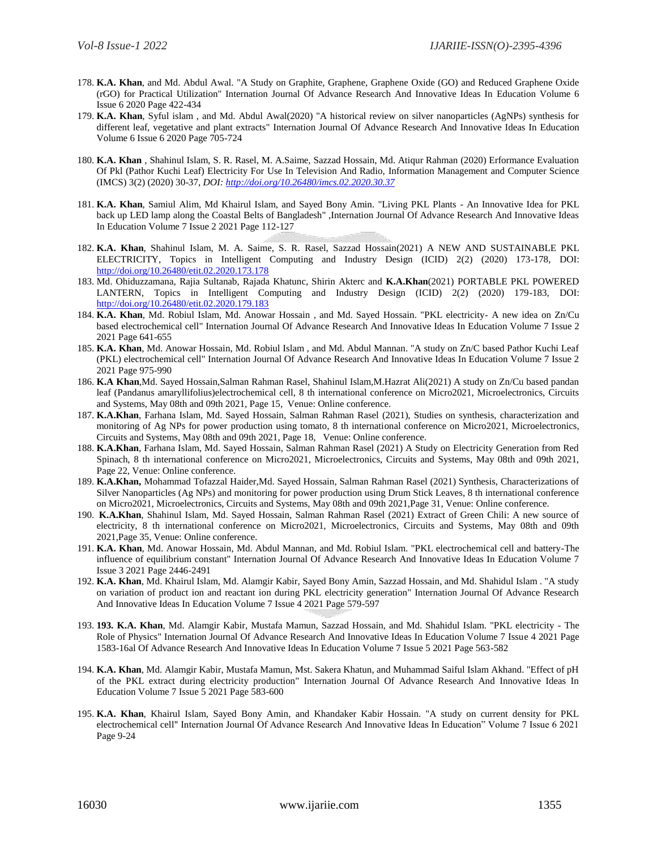- 178. **K.A. Khan**, and Md. Abdul Awal. "A Study on Graphite, Graphene, Graphene Oxide (GO) and Reduced Graphene Oxide (rGO) for Practical Utilization" Internation Journal Of Advance Research And Innovative Ideas In Education Volume 6 Issue 6 2020 Page 422-434
- 179. **K.A. Khan**, Syful islam , and Md. Abdul Awal(2020) "A historical review on silver nanoparticles (AgNPs) synthesis for different leaf, vegetative and plant extracts" Internation Journal Of Advance Research And Innovative Ideas In Education Volume 6 Issue 6 2020 Page 705-724
- 180. **K.A. Khan** , Shahinul Islam, S. R. Rasel, M. A.Saime, Sazzad Hossain, Md. Atiqur Rahman (2020) Erformance Evaluation Of Pkl (Pathor Kuchi Leaf) Electricity For Use In Television And Radio, Information Management and Computer Science (IMCS) 3(2) (2020) 30-37, *DOI[: http://doi.org/10.26480/imcs.02.2020.30.37](http://doi.org/10.26480/imcs.02.2020.30.37)*
- 181. **K.A. Khan**, Samiul Alim, Md Khairul Islam, and Sayed Bony Amin. "Living PKL Plants An Innovative Idea for PKL back up LED lamp along the Coastal Belts of Bangladesh" ,Internation Journal Of Advance Research And Innovative Ideas In Education Volume 7 Issue 2 2021 Page 112-127
- 182. **K.A. Khan**, Shahinul Islam, M. A. Saime, S. R. Rasel, Sazzad Hossain(2021) A NEW AND SUSTAINABLE PKL ELECTRICITY, Topics in Intelligent Computing and Industry Design (ICID) 2(2) (2020) 173-178, DOI: <http://doi.org/10.26480/etit.02.2020.173.178>
- 183. Md. Ohiduzzamana, Rajia Sultanab, Rajada Khatunc, Shirin Akterc and **K.A.Khan**(2021) PORTABLE PKL POWERED LANTERN, Topics in Intelligent Computing and Industry Design (ICID) 2(2) (2020) 179-183, DOI: <http://doi.org/10.26480/etit.02.2020.179.183>
- 184. **K.A. Khan**, Md. Robiul Islam, Md. Anowar Hossain , and Md. Sayed Hossain. "PKL electricity- A new idea on Zn/Cu based electrochemical cell" Internation Journal Of Advance Research And Innovative Ideas In Education Volume 7 Issue 2 2021 Page 641-655
- 185. **K.A. Khan**, Md. Anowar Hossain, Md. Robiul Islam , and Md. Abdul Mannan. "A study on Zn/C based Pathor Kuchi Leaf (PKL) electrochemical cell" Internation Journal Of Advance Research And Innovative Ideas In Education Volume 7 Issue 2 2021 Page 975-990
- 186. **K.A Khan**,Md. Sayed Hossain,Salman Rahman Rasel, Shahinul Islam,M.Hazrat Ali(2021) A study on Zn/Cu based pandan leaf (Pandanus amaryllifolius)electrochemical cell, 8 th international conference on Micro2021, Microelectronics, Circuits and Systems, May 08th and 09th 2021, Page 15, Venue: Online conference.
- 187. **K.A.Khan**, Farhana Islam, Md. Sayed Hossain, Salman Rahman Rasel (2021), Studies on synthesis, characterization and monitoring of Ag NPs for power production using tomato, 8 th international conference on Micro2021, Microelectronics, Circuits and Systems, May 08th and 09th 2021, Page 18, Venue: Online conference.
- 188. **K.A.Khan**, Farhana Islam, Md. Sayed Hossain, Salman Rahman Rasel (2021) A Study on Electricity Generation from Red Spinach, 8 th international conference on Micro2021, Microelectronics, Circuits and Systems, May 08th and 09th 2021, Page 22, Venue: Online conference.
- 189. **K.A.Khan,** Mohammad Tofazzal Haider,Md. Sayed Hossain, Salman Rahman Rasel (2021) Synthesis, Characterizations of Silver Nanoparticles (Ag NPs) and monitoring for power production using Drum Stick Leaves, 8 th international conference on Micro2021, Microelectronics, Circuits and Systems, May 08th and 09th 2021,Page 31, Venue: Online conference.
- 190. **K.A.Khan**, Shahinul Islam, Md. Sayed Hossain, Salman Rahman Rasel (2021) Extract of Green Chili: A new source of electricity, 8 th international conference on Micro2021, Microelectronics, Circuits and Systems, May 08th and 09th 2021,Page 35, Venue: Online conference.
- 191. **K.A. Khan**, Md. Anowar Hossain, Md. Abdul Mannan, and Md. Robiul Islam. "PKL electrochemical cell and battery-The influence of equilibrium constant" Internation Journal Of Advance Research And Innovative Ideas In Education Volume 7 Issue 3 2021 Page 2446-2491
- 192. **K.A. Khan**, Md. Khairul Islam, Md. Alamgir Kabir, Sayed Bony Amin, Sazzad Hossain, and Md. Shahidul Islam . "A study on variation of product ion and reactant ion during PKL electricity generation" Internation Journal Of Advance Research And Innovative Ideas In Education Volume 7 Issue 4 2021 Page 579-597
- 193. **193. K.A. Khan**, Md. Alamgir Kabir, Mustafa Mamun, Sazzad Hossain, and Md. Shahidul Islam. "PKL electricity The Role of Physics" Internation Journal Of Advance Research And Innovative Ideas In Education Volume 7 Issue 4 2021 Page 1583-16al Of Advance Research And Innovative Ideas In Education Volume 7 Issue 5 2021 Page 563-582
- 194. **K.A. Khan**, Md. Alamgir Kabir, Mustafa Mamun, Mst. Sakera Khatun, and Muhammad Saiful Islam Akhand. "Effect of pH of the PKL extract during electricity production" Internation Journal Of Advance Research And Innovative Ideas In Education Volume 7 Issue 5 2021 Page 583-600
- 195. **K.A. Khan**, Khairul Islam, Sayed Bony Amin, and Khandaker Kabir Hossain. "A study on current density for PKL electrochemical cell" Internation Journal Of Advance Research And Innovative Ideas In Education" Volume 7 Issue 6 2021 Page 9-24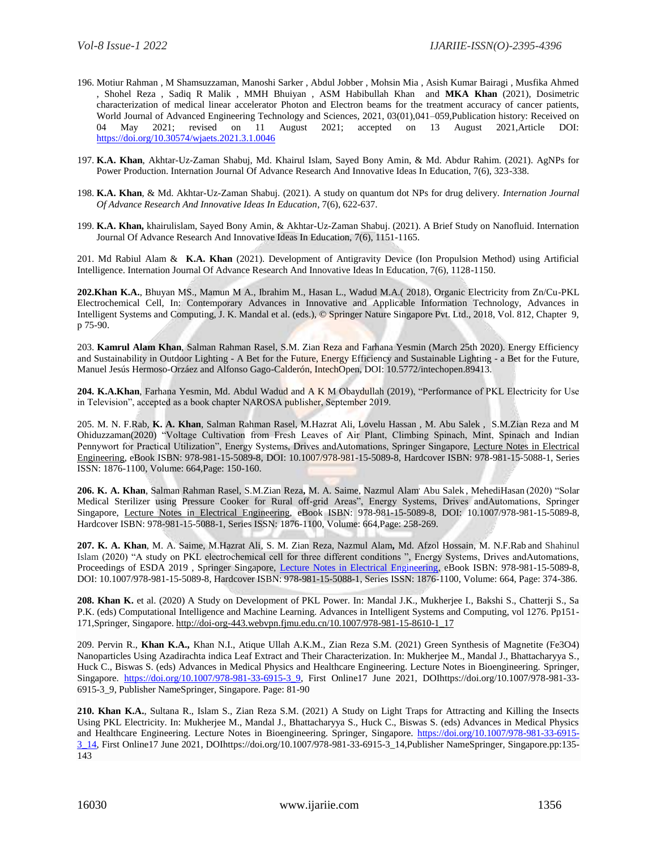- 196. Motiur Rahman , M Shamsuzzaman, Manoshi Sarker , Abdul Jobber , Mohsin Mia , Asish Kumar Bairagi , Musfika Ahmed , Shohel Reza , Sadiq R Malik , MMH Bhuiyan , ASM Habibullah Khan and **MKA Khan** (2021), Dosimetric characterization of medical linear accelerator Photon and Electron beams for the treatment accuracy of cancer patients, World Journal of Advanced Engineering Technology and Sciences, 2021, 03(01),041–059,Publication history: Received on 04 May 2021; revised on 11 August 2021; accepted on 13 August 2021,Article DOI: <https://doi.org/10.30574/wjaets.2021.3.1.0046>
- 197. **K.A. Khan**, Akhtar-Uz-Zaman Shabuj, Md. Khairul Islam, Sayed Bony Amin, & Md. Abdur Rahim. (2021). AgNPs for Power Production. Internation Journal Of Advance Research And Innovative Ideas In Education, 7(6), 323-338.
- 198. **K.A. Khan**, & Md. Akhtar-Uz-Zaman Shabuj. (2021). A study on quantum dot NPs for drug delivery. *Internation Journal Of Advance Research And Innovative Ideas In Education*, 7(6), 622-637.
- 199. **K.A. Khan,** khairulislam, Sayed Bony Amin, & Akhtar-Uz-Zaman Shabuj. (2021). A Brief Study on Nanofluid. Internation Journal Of Advance Research And Innovative Ideas In Education, 7(6), 1151-1165.

201. Md Rabiul Alam & **K.A. Khan** (2021). Development of Antigravity Device (Ion Propulsion Method) using Artificial Intelligence. Internation Journal Of Advance Research And Innovative Ideas In Education, 7(6), 1128-1150.

**202.Khan K.A.**, Bhuyan MS., Mamun M A., Ibrahim M., Hasan L., Wadud M.A.( 2018), Organic Electricity from Zn/Cu-PKL Electrochemical Cell, In: Contemporary Advances in Innovative and Applicable Information Technology, Advances in Intelligent Systems and Computing, J. K. Mandal et al. (eds.), © Springer Nature Singapore Pvt. Ltd., 2018, Vol. 812, Chapter 9, p 75-90.

203. **Kamrul Alam Khan**, Salman Rahman Rasel, S.M. Zian Reza and Farhana Yesmin (March 25th 2020). Energy Efficiency and Sustainability in Outdoor Lighting - A Bet for the Future, Energy Efficiency and Sustainable Lighting - a Bet for the Future, Manuel Jesús Hermoso-Orzáez and Alfonso Gago-Calderón, IntechOpen, DOI: 10.5772/intechopen.89413.

**204. K.A.Khan**, Farhana Yesmin, Md. Abdul Wadud and A K M Obaydullah (2019), "Performance of PKL Electricity for Use in Television", accepted as a book chapter NAROSA publisher, September 2019.

205. M. N. F.Rab, **K. A. Khan**, Salman Rahman Rasel, M.Hazrat Ali, Lovelu Hassan , M. Abu Salek , S.M.Zian Reza and M Ohiduzzaman(2020) "Voltage Cultivation from Fresh Leaves of Air Plant, Climbing Spinach, Mint, Spinach and Indian Pennywort for Practical Utilization", Energy Systems, Drives andAutomations, Springer Singapore, [Lecture Notes](https://www.springer.com/series/7818) in Electrical [Engineering,](https://www.springer.com/series/7818) eBook ISBN: 978-981-15-5089-8, DOI: 10.1007/978-981-15-5089-8, Hardcover ISBN: 978-981-15-5088-1, Series ISSN: 1876-1100, Volume: 664,Page: 150-160.

**206. K. A. Khan**, Salman Rahman Rasel, S.M.Zian Reza**,** M. A. Saime, Nazmul Alam, Abu Salek , MehediHasan (2020) "Solar Medical Sterilizer using Pressure Cooker for Rural off-grid Areas", Energy Systems, Drives andAutomations, Springer Singapore, [Lecture Notes in Electrical Engineering,](https://www.springer.com/series/7818) eBook ISBN: 978-981-15-5089-8, DOI: 10.1007/978-981-15-5089-8, Hardcover ISBN: 978-981-15-5088-1, Series ISSN: 1876-1100, Volume: 664,Page: 258-269.

**207. K. A. Khan**, M. A. Saime, M.Hazrat Ali, S. M. Zian Reza, Nazmul Alam**,** Md. Afzol Hossain, M. N.F.Rab and Shahinul Islam (2020) "A study on PKL electrochemical cell for three different conditions ", Energy Systems, Drives andAutomations, Proceedings of ESDA 2019, Springer Singapore, [Lecture Notes in Electrical Engineering,](https://www.springer.com/series/7818) eBook ISBN: 978-981-15-5089-8, DOI: 10.1007/978-981-15-5089-8, Hardcover ISBN: 978-981-15-5088-1, Series ISSN: 1876-1100, Volume: 664, Page: 374-386.

**208. Khan K.** et al. (2020) A Study on Development of PKL Power. In: Mandal J.K., Mukherjee I., Bakshi S., Chatterji S., Sa P.K. (eds) Computational Intelligence and Machine Learning. Advances in Intelligent Systems and Computing, vol 1276. Pp151- 171,Springer, Singapore[. http://doi-org-443.webvpn.fjmu.edu.cn/10.1007/978-981-15-8610-1\\_17](http://doi-org-443.webvpn.fjmu.edu.cn/10.1007/978-981-15-8610-1_17)

209. Pervin R., **Khan K.A.,** Khan N.I., Atique Ullah A.K.M., Zian Reza S.M. (2021) Green Synthesis of Magnetite (Fe3O4) Nanoparticles Using Azadirachta indica Leaf Extract and Their Characterization. In: Mukherjee M., Mandal J., Bhattacharyya S., Huck C., Biswas S. (eds) Advances in Medical Physics and Healthcare Engineering. Lecture Notes in Bioengineering. Springer, Singapore. [https://doi.org/10.1007/978-981-33-6915-3\\_9,](https://doi.org/10.1007/978-981-33-6915-3_9) First Online17 June 2021, DOIhttps://doi.org/10.1007/978-981-33-6915-3\_9, Publisher NameSpringer, Singapore. Page: 81-90

**210. Khan K.A.**, Sultana R., Islam S., Zian Reza S.M. (2021) A Study on Light Traps for Attracting and Killing the Insects Using PKL Electricity. In: Mukherjee M., Mandal J., Bhattacharyya S., Huck C., Biswas S. (eds) Advances in Medical Physics and Healthcare Engineering. Lecture Notes in Bioengineering. Springer, Singapore. [https://doi.org/10.1007/978-981-33-6915-](https://doi.org/10.1007/978-981-33-6915-3_14) [3\\_14,](https://doi.org/10.1007/978-981-33-6915-3_14) First Online17 June 2021, DOIhttps://doi.org/10.1007/978-981-33-6915-3\_14,Publisher NameSpringer, Singapore.pp:135- 143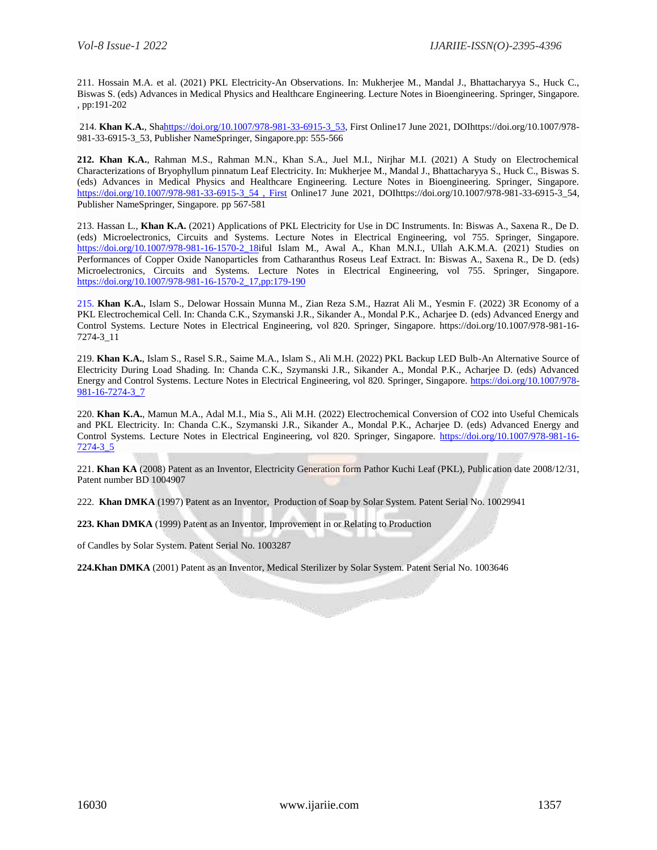211. Hossain M.A. et al. (2021) PKL Electricity-An Observations. In: Mukherjee M., Mandal J., Bhattacharyya S., Huck C., Biswas S. (eds) Advances in Medical Physics and Healthcare Engineering. Lecture Notes in Bioengineering. Springer, Singapore. , pp:191-202

214. **Khan K.A.**, Sh[ahttps://doi.org/10.1007/978-981-33-6915-3\\_53,](https://doi.org/10.1007/978-981-33-6915-3_53) First Online17 June 2021, DOIhttps://doi.org/10.1007/978- 981-33-6915-3\_53, Publisher NameSpringer, Singapore.pp: 555-566

**212. Khan K.A.**, Rahman M.S., Rahman M.N., Khan S.A., Juel M.I., Nirjhar M.I. (2021) A Study on Electrochemical Characterizations of Bryophyllum pinnatum Leaf Electricity. In: Mukherjee M., Mandal J., Bhattacharyya S., Huck C., Biswas S. (eds) Advances in Medical Physics and Healthcare Engineering. Lecture Notes in Bioengineering. Springer, Singapore. [https://doi.org/10.1007/978-981-33-6915-3\\_54 , First](https://doi.org/10.1007/978-981-33-6915-3_54%20,%20First) Online17 June 2021, DOIhttps://doi.org/10.1007/978-981-33-6915-3\_54, Publisher NameSpringer, Singapore. pp 567-581

213. Hassan L., **Khan K.A.** (2021) Applications of PKL Electricity for Use in DC Instruments. In: Biswas A., Saxena R., De D. (eds) Microelectronics, Circuits and Systems. Lecture Notes in Electrical Engineering, vol 755. Springer, Singapore. [https://doi.org/10.1007/978-981-16-1570-2\\_18i](https://doi.org/10.1007/978-981-16-1570-2_18)ful Islam M., Awal A., Khan M.N.I., Ullah A.K.M.A. (2021) Studies on Performances of Copper Oxide Nanoparticles from Catharanthus Roseus Leaf Extract. In: Biswas A., Saxena R., De D. (eds) Microelectronics, Circuits and Systems. Lecture Notes in Electrical Engineering, vol 755. Springer, Singapore. [https://doi.org/10.1007/978-981-16-1570-2\\_17,pp:179-190](https://doi.org/10.1007/978-981-16-1570-2_17,pp:179-190)

215. **Khan K.A.**, Islam S., Delowar Hossain Munna M., Zian Reza S.M., Hazrat Ali M., Yesmin F. (2022) 3R Economy of a PKL Electrochemical Cell. In: Chanda C.K., Szymanski J.R., Sikander A., Mondal P.K., Acharjee D. (eds) Advanced Energy and Control Systems. Lecture Notes in Electrical Engineering, vol 820. Springer, Singapore. https://doi.org/10.1007/978-981-16- 7274-3\_11

219. **Khan K.A.**, Islam S., Rasel S.R., Saime M.A., Islam S., Ali M.H. (2022) PKL Backup LED Bulb-An Alternative Source of Electricity During Load Shading. In: Chanda C.K., Szymanski J.R., Sikander A., Mondal P.K., Acharjee D. (eds) Advanced Energy and Control Systems. Lecture Notes in Electrical Engineering, vol 820. Springer, Singapore. [https://doi.org/10.1007/978-](https://doi.org/10.1007/978-981-16-7274-3_7) [981-16-7274-3\\_7](https://doi.org/10.1007/978-981-16-7274-3_7)

220. **Khan K.A.**, Mamun M.A., Adal M.I., Mia S., Ali M.H. (2022) Electrochemical Conversion of CO2 into Useful Chemicals and PKL Electricity. In: Chanda C.K., Szymanski J.R., Sikander A., Mondal P.K., Acharjee D. (eds) Advanced Energy and Control Systems. Lecture Notes in Electrical Engineering, vol 820. Springer, Singapore. [https://doi.org/10.1007/978-981-16-](https://doi.org/10.1007/978-981-16-7274-3_5) [7274-3\\_5](https://doi.org/10.1007/978-981-16-7274-3_5)

221. **Khan KA** (2008) Patent as an Inventor, Electricity Generation form Pathor Kuchi Leaf (PKL), Publication date 2008/12/31, Patent number BD 1004907

222. **Khan DMKA** (1997) Patent as an Inventor, Production of Soap by Solar System. Patent Serial No. 10029941

**223. Khan DMKA** (1999) Patent as an Inventor, Improvement in or Relating to Production

of Candles by Solar System. Patent Serial No. 1003287

**224.Khan DMKA** (2001) Patent as an Inventor, Medical Sterilizer by Solar System. Patent Serial No. 1003646